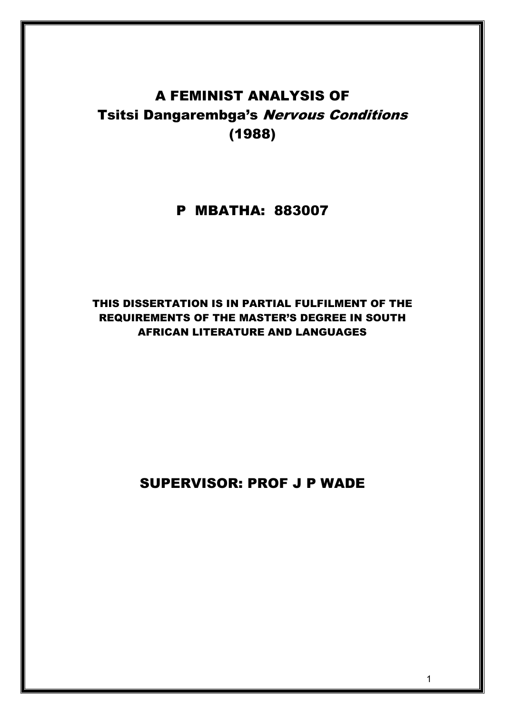# A FEMINIST ANALYSIS OF **Tsitsi Dangarembga's Nervous Conditions** (1988)

# P MBATHA: 883007

# THIS DISSERTATION IS IN PARTIAL FULFILMENT OF THE REQUIREMENTS OF THE MASTER'S DEGREE IN SOUTH AFRICAN LITERATURE AND LANGUAGES

# SUPERVISOR: PROF J P WADE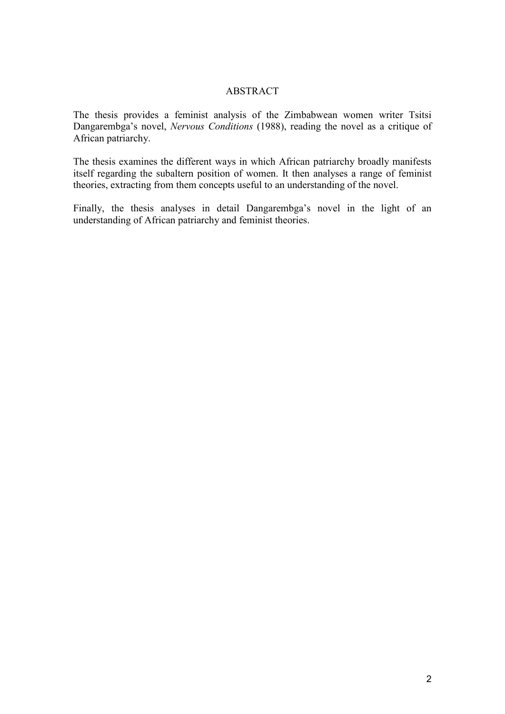## ABSTRACT

The thesis provides a feminist analysis of the Zimbabwean women writer Tsitsi Dangarembga's novel, *Nervous Conditions* (1988), reading the novel as a critique of African patriarchy.

The thesis examines the different ways in which African patriarchy broadly manifests itself regarding the subaltern position of women. It then analyses a range of feminist theories, extracting from them concepts useful to an understanding of the novel.

Finally, the thesis analyses in detail Dangarembga's novel in the light of an understanding of African patriarchy and feminist theories.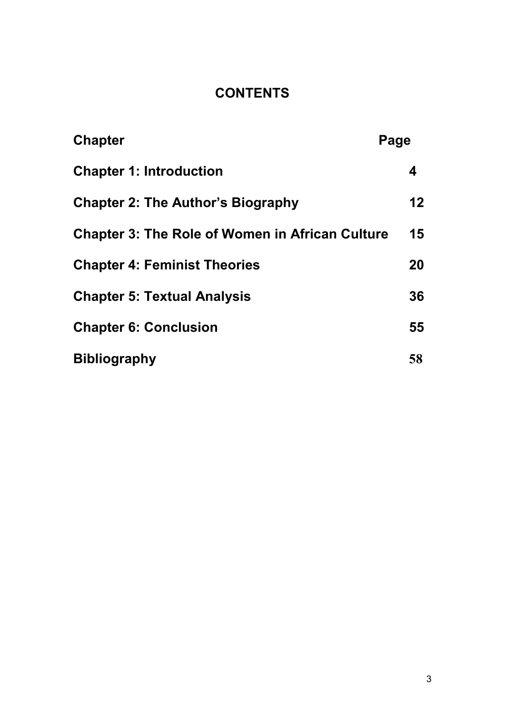# **CONTENTS**

| <b>Chapter</b>                                         | Page            |
|--------------------------------------------------------|-----------------|
| <b>Chapter 1: Introduction</b>                         | 4               |
| <b>Chapter 2: The Author's Biography</b>               | 12 <sup>°</sup> |
| <b>Chapter 3: The Role of Women in African Culture</b> | 15              |
| <b>Chapter 4: Feminist Theories</b>                    | 20              |
| <b>Chapter 5: Textual Analysis</b>                     | 36              |
| <b>Chapter 6: Conclusion</b>                           | 55              |
| <b>Bibliography</b>                                    | 58              |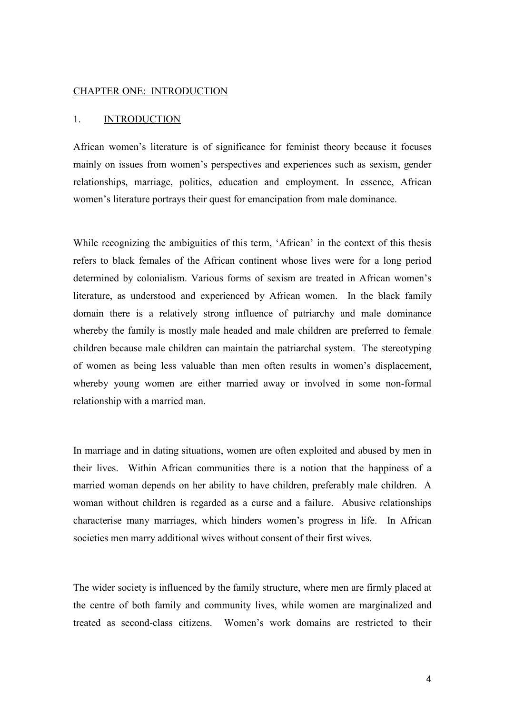#### CHAPTER ONE: INTRODUCTION

#### 1. INTRODUCTION

African women's literature is of significance for feminist theory because it focuses mainly on issues from women's perspectives and experiences such as sexism, gender relationships, marriage, politics, education and employment. In essence, African women's literature portrays their quest for emancipation from male dominance.

While recognizing the ambiguities of this term, 'African' in the context of this thesis refers to black females of the African continent whose lives were for a long period determined by colonialism. Various forms of sexism are treated in African women's literature, as understood and experienced by African women. In the black family domain there is a relatively strong influence of patriarchy and male dominance whereby the family is mostly male headed and male children are preferred to female children because male children can maintain the patriarchal system. The stereotyping of women as being less valuable than men often results in women's displacement, whereby young women are either married away or involved in some non-formal relationship with a married man.

In marriage and in dating situations, women are often exploited and abused by men in their lives. Within African communities there is a notion that the happiness of a married woman depends on her ability to have children, preferably male children. A woman without children is regarded as a curse and a failure. Abusive relationships characterise many marriages, which hinders women's progress in life. In African societies men marry additional wives without consent of their first wives.

The wider society is influenced by the family structure, where men are firmly placed at the centre of both family and community lives, while women are marginalized and treated as second-class citizens. Women's work domains are restricted to their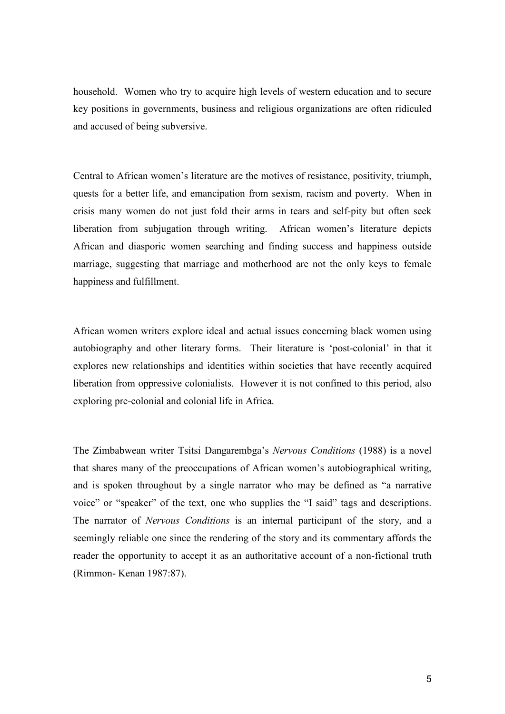household. Women who try to acquire high levels of western education and to secure key positions in governments, business and religious organizations are often ridiculed and accused of being subversive.

Central to African women's literature are the motives of resistance, positivity, triumph, quests for a better life, and emancipation from sexism, racism and poverty. When in crisis many women do not just fold their arms in tears and self-pity but often seek liberation from subjugation through writing. African women's literature depicts African and diasporic women searching and finding success and happiness outside marriage, suggesting that marriage and motherhood are not the only keys to female happiness and fulfillment.

African women writers explore ideal and actual issues concerning black women using autobiography and other literary forms. Their literature is 'post-colonial' in that it explores new relationships and identities within societies that have recently acquired liberation from oppressive colonialists. However it is not confined to this period, also exploring pre-colonial and colonial life in Africa.

The Zimbabwean writer Tsitsi Dangarembga's Nervous Conditions (1988) is a novel that shares many of the preoccupations of African women's autobiographical writing, and is spoken throughout by a single narrator who may be defined as "a narrative voice" or "speaker" of the text, one who supplies the "I said" tags and descriptions. The narrator of Nervous Conditions is an internal participant of the story, and a seemingly reliable one since the rendering of the story and its commentary affords the reader the opportunity to accept it as an authoritative account of a non-fictional truth (Rimmon- Kenan 1987:87).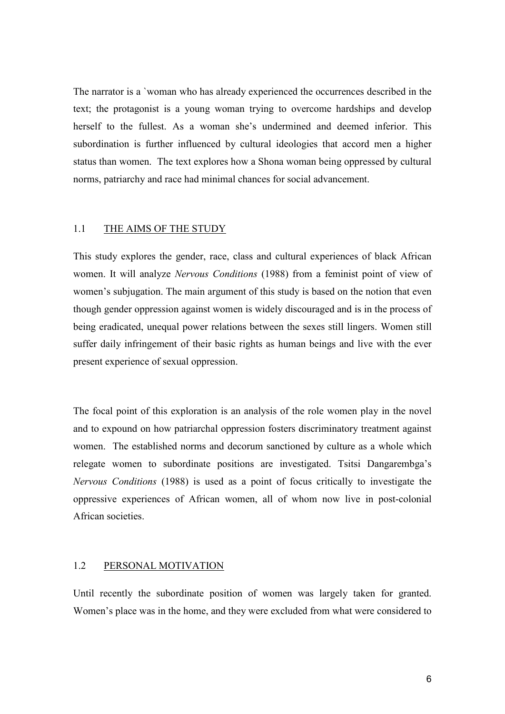The narrator is a `woman who has already experienced the occurrences described in the text; the protagonist is a young woman trying to overcome hardships and develop herself to the fullest. As a woman she's undermined and deemed inferior. This subordination is further influenced by cultural ideologies that accord men a higher status than women. The text explores how a Shona woman being oppressed by cultural norms, patriarchy and race had minimal chances for social advancement.

#### 1.1 THE AIMS OF THE STUDY

This study explores the gender, race, class and cultural experiences of black African women. It will analyze Nervous Conditions (1988) from a feminist point of view of women's subjugation. The main argument of this study is based on the notion that even though gender oppression against women is widely discouraged and is in the process of being eradicated, unequal power relations between the sexes still lingers. Women still suffer daily infringement of their basic rights as human beings and live with the ever present experience of sexual oppression.

The focal point of this exploration is an analysis of the role women play in the novel and to expound on how patriarchal oppression fosters discriminatory treatment against women. The established norms and decorum sanctioned by culture as a whole which relegate women to subordinate positions are investigated. Tsitsi Dangarembga's Nervous Conditions (1988) is used as a point of focus critically to investigate the oppressive experiences of African women, all of whom now live in post-colonial African societies.

## 1.2 PERSONAL MOTIVATION

Until recently the subordinate position of women was largely taken for granted. Women's place was in the home, and they were excluded from what were considered to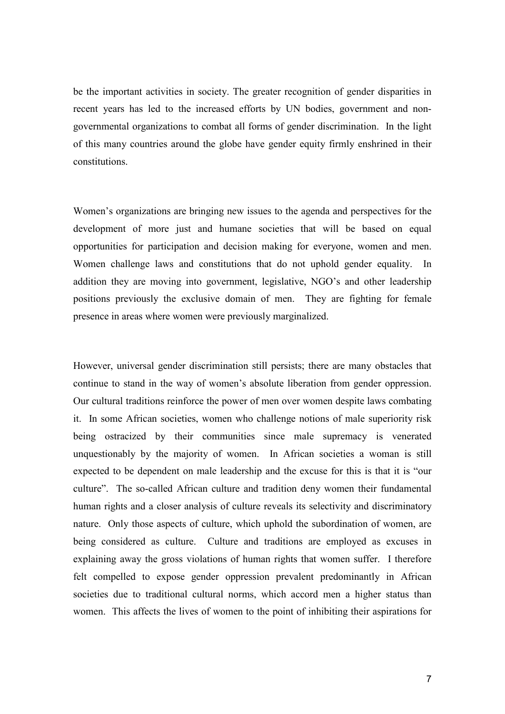be the important activities in society. The greater recognition of gender disparities in recent years has led to the increased efforts by UN bodies, government and nongovernmental organizations to combat all forms of gender discrimination. In the light of this many countries around the globe have gender equity firmly enshrined in their constitutions.

Women's organizations are bringing new issues to the agenda and perspectives for the development of more just and humane societies that will be based on equal opportunities for participation and decision making for everyone, women and men. Women challenge laws and constitutions that do not uphold gender equality. In addition they are moving into government, legislative, NGO's and other leadership positions previously the exclusive domain of men. They are fighting for female presence in areas where women were previously marginalized.

However, universal gender discrimination still persists; there are many obstacles that continue to stand in the way of women's absolute liberation from gender oppression. Our cultural traditions reinforce the power of men over women despite laws combating it. In some African societies, women who challenge notions of male superiority risk being ostracized by their communities since male supremacy is venerated unquestionably by the majority of women. In African societies a woman is still expected to be dependent on male leadership and the excuse for this is that it is "our culture". The so-called African culture and tradition deny women their fundamental human rights and a closer analysis of culture reveals its selectivity and discriminatory nature. Only those aspects of culture, which uphold the subordination of women, are being considered as culture. Culture and traditions are employed as excuses in explaining away the gross violations of human rights that women suffer. I therefore felt compelled to expose gender oppression prevalent predominantly in African societies due to traditional cultural norms, which accord men a higher status than women. This affects the lives of women to the point of inhibiting their aspirations for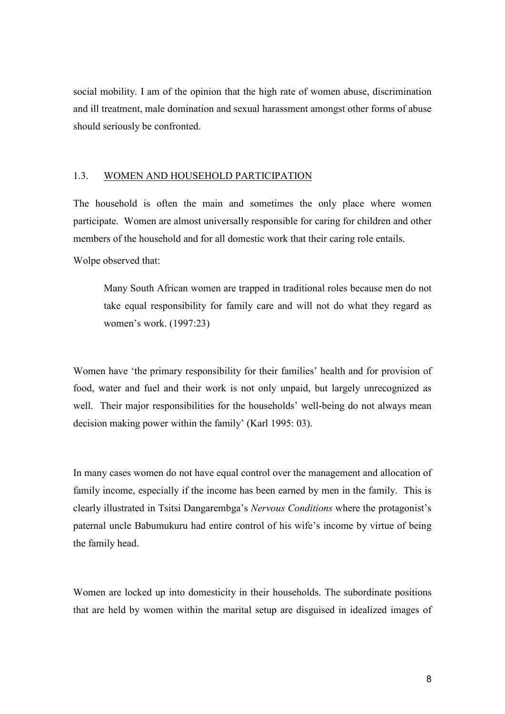social mobility. I am of the opinion that the high rate of women abuse, discrimination and ill treatment, male domination and sexual harassment amongst other forms of abuse should seriously be confronted.

### 1.3. WOMEN AND HOUSEHOLD PARTICIPATION

The household is often the main and sometimes the only place where women participate. Women are almost universally responsible for caring for children and other members of the household and for all domestic work that their caring role entails.

Wolpe observed that:

Many South African women are trapped in traditional roles because men do not take equal responsibility for family care and will not do what they regard as women's work. (1997:23)

Women have 'the primary responsibility for their families' health and for provision of food, water and fuel and their work is not only unpaid, but largely unrecognized as well. Their major responsibilities for the households' well-being do not always mean decision making power within the family' (Karl 1995: 03).

In many cases women do not have equal control over the management and allocation of family income, especially if the income has been earned by men in the family. This is clearly illustrated in Tsitsi Dangarembga's Nervous Conditions where the protagonist's paternal uncle Babumukuru had entire control of his wife's income by virtue of being the family head.

Women are locked up into domesticity in their households. The subordinate positions that are held by women within the marital setup are disguised in idealized images of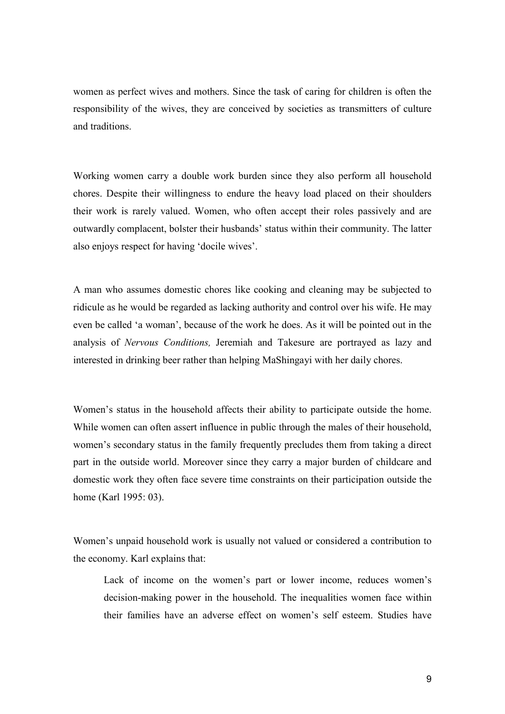women as perfect wives and mothers. Since the task of caring for children is often the responsibility of the wives, they are conceived by societies as transmitters of culture and traditions.

Working women carry a double work burden since they also perform all household chores. Despite their willingness to endure the heavy load placed on their shoulders their work is rarely valued. Women, who often accept their roles passively and are outwardly complacent, bolster their husbands' status within their community. The latter also enjoys respect for having 'docile wives'.

A man who assumes domestic chores like cooking and cleaning may be subjected to ridicule as he would be regarded as lacking authority and control over his wife. He may even be called 'a woman', because of the work he does. As it will be pointed out in the analysis of Nervous Conditions, Jeremiah and Takesure are portrayed as lazy and interested in drinking beer rather than helping MaShingayi with her daily chores.

Women's status in the household affects their ability to participate outside the home. While women can often assert influence in public through the males of their household, women's secondary status in the family frequently precludes them from taking a direct part in the outside world. Moreover since they carry a major burden of childcare and domestic work they often face severe time constraints on their participation outside the home (Karl 1995: 03).

Women's unpaid household work is usually not valued or considered a contribution to the economy. Karl explains that:

Lack of income on the women's part or lower income, reduces women's decision-making power in the household. The inequalities women face within their families have an adverse effect on women's self esteem. Studies have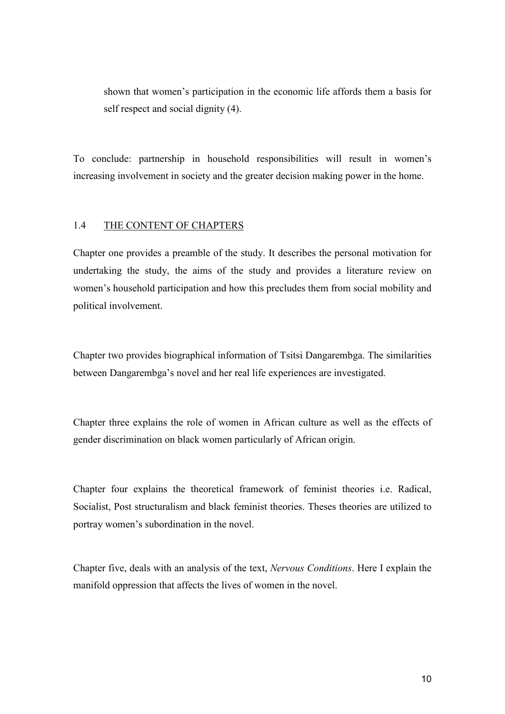shown that women's participation in the economic life affords them a basis for self respect and social dignity (4).

To conclude: partnership in household responsibilities will result in women's increasing involvement in society and the greater decision making power in the home.

### 1.4 THE CONTENT OF CHAPTERS

Chapter one provides a preamble of the study. It describes the personal motivation for undertaking the study, the aims of the study and provides a literature review on women's household participation and how this precludes them from social mobility and political involvement.

Chapter two provides biographical information of Tsitsi Dangarembga. The similarities between Dangarembga's novel and her real life experiences are investigated.

Chapter three explains the role of women in African culture as well as the effects of gender discrimination on black women particularly of African origin.

Chapter four explains the theoretical framework of feminist theories i.e. Radical, Socialist, Post structuralism and black feminist theories. Theses theories are utilized to portray women's subordination in the novel.

Chapter five, deals with an analysis of the text, Nervous Conditions. Here I explain the manifold oppression that affects the lives of women in the novel.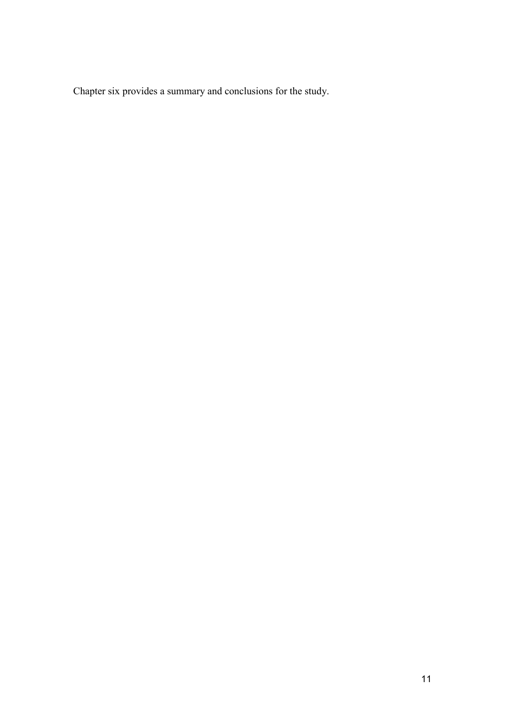Chapter six provides a summary and conclusions for the study.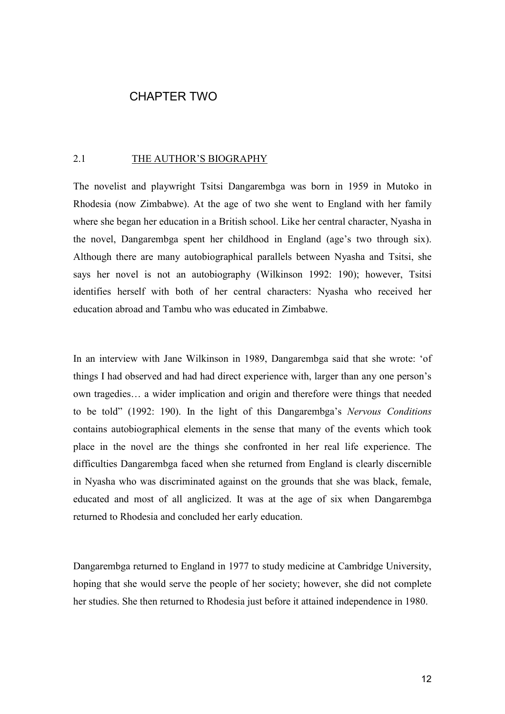# CHAPTER TWO

#### 2.1 THE AUTHOR'S BIOGRAPHY

The novelist and playwright Tsitsi Dangarembga was born in 1959 in Mutoko in Rhodesia (now Zimbabwe). At the age of two she went to England with her family where she began her education in a British school. Like her central character, Nyasha in the novel, Dangarembga spent her childhood in England (age's two through six). Although there are many autobiographical parallels between Nyasha and Tsitsi, she says her novel is not an autobiography (Wilkinson 1992: 190); however, Tsitsi identifies herself with both of her central characters: Nyasha who received her education abroad and Tambu who was educated in Zimbabwe.

In an interview with Jane Wilkinson in 1989, Dangarembga said that she wrote: 'of things I had observed and had had direct experience with, larger than any one person's own tragedies… a wider implication and origin and therefore were things that needed to be told" (1992: 190). In the light of this Dangarembga's Nervous Conditions contains autobiographical elements in the sense that many of the events which took place in the novel are the things she confronted in her real life experience. The difficulties Dangarembga faced when she returned from England is clearly discernible in Nyasha who was discriminated against on the grounds that she was black, female, educated and most of all anglicized. It was at the age of six when Dangarembga returned to Rhodesia and concluded her early education.

Dangarembga returned to England in 1977 to study medicine at Cambridge University, hoping that she would serve the people of her society; however, she did not complete her studies. She then returned to Rhodesia just before it attained independence in 1980.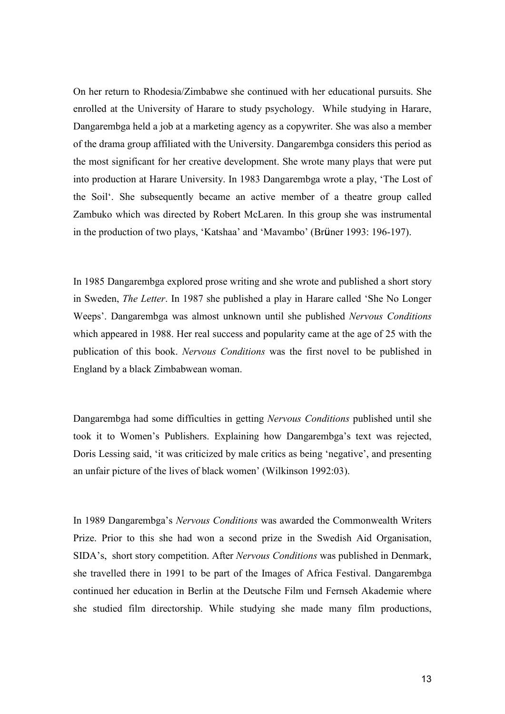On her return to Rhodesia/Zimbabwe she continued with her educational pursuits. She enrolled at the University of Harare to study psychology. While studying in Harare, Dangarembga held a job at a marketing agency as a copywriter. She was also a member of the drama group affiliated with the University. Dangarembga considers this period as the most significant for her creative development. She wrote many plays that were put into production at Harare University. In 1983 Dangarembga wrote a play, 'The Lost of the Soil'. She subsequently became an active member of a theatre group called Zambuko which was directed by Robert McLaren. In this group she was instrumental in the production of two plays, 'Katshaa' and 'Mavambo' (Brüner 1993: 196-197).

In 1985 Dangarembga explored prose writing and she wrote and published a short story in Sweden, The Letter. In 1987 she published a play in Harare called 'She No Longer Weeps'. Dangarembga was almost unknown until she published Nervous Conditions which appeared in 1988. Her real success and popularity came at the age of 25 with the publication of this book. Nervous Conditions was the first novel to be published in England by a black Zimbabwean woman.

Dangarembga had some difficulties in getting Nervous Conditions published until she took it to Women's Publishers. Explaining how Dangarembga's text was rejected, Doris Lessing said, 'it was criticized by male critics as being 'negative', and presenting an unfair picture of the lives of black women' (Wilkinson 1992:03).

In 1989 Dangarembga's Nervous Conditions was awarded the Commonwealth Writers Prize. Prior to this she had won a second prize in the Swedish Aid Organisation, SIDA's, short story competition. After Nervous Conditions was published in Denmark, she travelled there in 1991 to be part of the Images of Africa Festival. Dangarembga continued her education in Berlin at the Deutsche Film und Fernseh Akademie where she studied film directorship. While studying she made many film productions,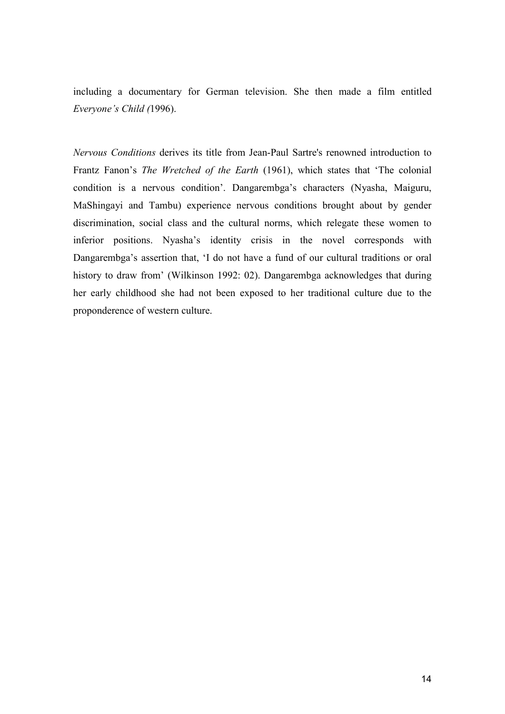including a documentary for German television. She then made a film entitled Everyone's Child (1996).

Nervous Conditions derives its title from Jean-Paul Sartre's renowned introduction to Frantz Fanon's The Wretched of the Earth (1961), which states that 'The colonial condition is a nervous condition'. Dangarembga's characters (Nyasha, Maiguru, MaShingayi and Tambu) experience nervous conditions brought about by gender discrimination, social class and the cultural norms, which relegate these women to inferior positions. Nyasha's identity crisis in the novel corresponds with Dangarembga's assertion that, 'I do not have a fund of our cultural traditions or oral history to draw from' (Wilkinson 1992: 02). Dangarembga acknowledges that during her early childhood she had not been exposed to her traditional culture due to the proponderence of western culture.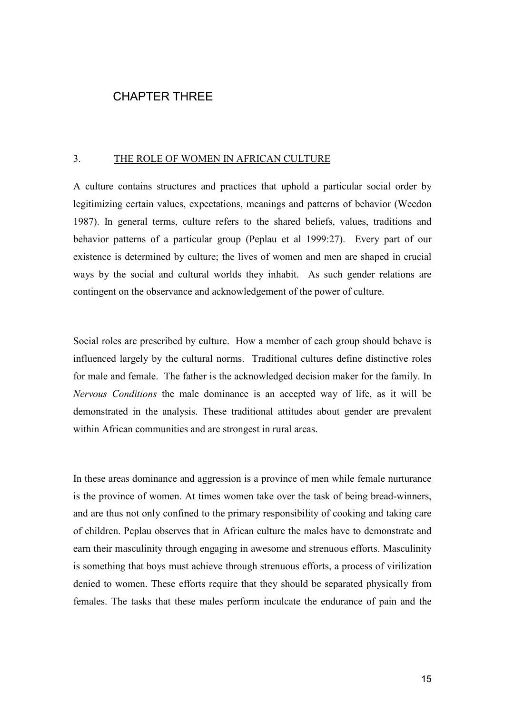# CHAPTER THREE

### 3. THE ROLE OF WOMEN IN AFRICAN CULTURE

A culture contains structures and practices that uphold a particular social order by legitimizing certain values, expectations, meanings and patterns of behavior (Weedon 1987). In general terms, culture refers to the shared beliefs, values, traditions and behavior patterns of a particular group (Peplau et al 1999:27). Every part of our existence is determined by culture; the lives of women and men are shaped in crucial ways by the social and cultural worlds they inhabit. As such gender relations are contingent on the observance and acknowledgement of the power of culture.

Social roles are prescribed by culture. How a member of each group should behave is influenced largely by the cultural norms. Traditional cultures define distinctive roles for male and female. The father is the acknowledged decision maker for the family. In Nervous Conditions the male dominance is an accepted way of life, as it will be demonstrated in the analysis. These traditional attitudes about gender are prevalent within African communities and are strongest in rural areas.

In these areas dominance and aggression is a province of men while female nurturance is the province of women. At times women take over the task of being bread-winners, and are thus not only confined to the primary responsibility of cooking and taking care of children. Peplau observes that in African culture the males have to demonstrate and earn their masculinity through engaging in awesome and strenuous efforts. Masculinity is something that boys must achieve through strenuous efforts, a process of virilization denied to women. These efforts require that they should be separated physically from females. The tasks that these males perform inculcate the endurance of pain and the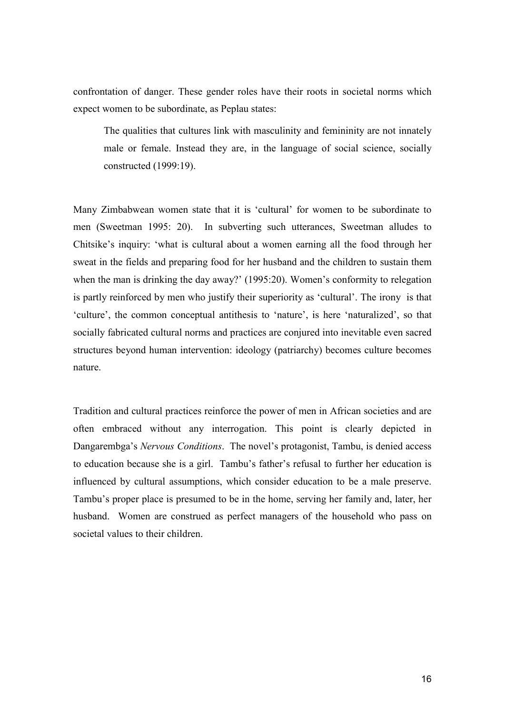confrontation of danger. These gender roles have their roots in societal norms which expect women to be subordinate, as Peplau states:

The qualities that cultures link with masculinity and femininity are not innately male or female. Instead they are, in the language of social science, socially constructed (1999:19).

Many Zimbabwean women state that it is 'cultural' for women to be subordinate to men (Sweetman 1995: 20). In subverting such utterances, Sweetman alludes to Chitsike's inquiry: 'what is cultural about a women earning all the food through her sweat in the fields and preparing food for her husband and the children to sustain them when the man is drinking the day away?' (1995:20). Women's conformity to relegation is partly reinforced by men who justify their superiority as 'cultural'. The irony is that 'culture', the common conceptual antithesis to 'nature', is here 'naturalized', so that socially fabricated cultural norms and practices are conjured into inevitable even sacred structures beyond human intervention: ideology (patriarchy) becomes culture becomes nature.

Tradition and cultural practices reinforce the power of men in African societies and are often embraced without any interrogation. This point is clearly depicted in Dangarembga's Nervous Conditions. The novel's protagonist, Tambu, is denied access to education because she is a girl. Tambu's father's refusal to further her education is influenced by cultural assumptions, which consider education to be a male preserve. Tambu's proper place is presumed to be in the home, serving her family and, later, her husband. Women are construed as perfect managers of the household who pass on societal values to their children.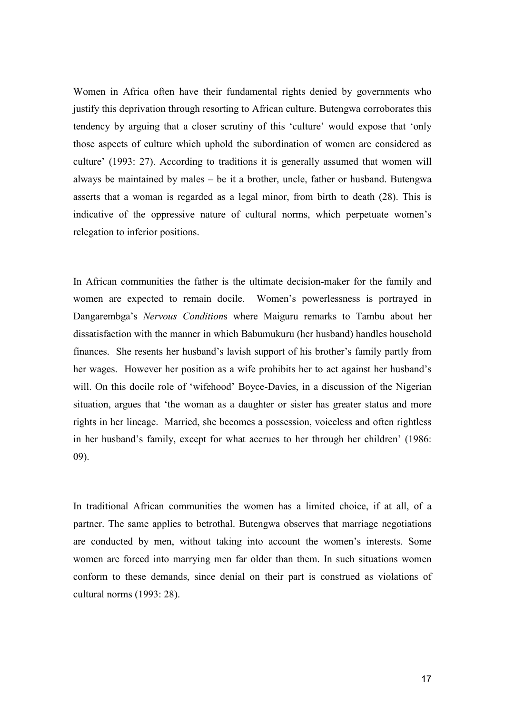Women in Africa often have their fundamental rights denied by governments who justify this deprivation through resorting to African culture. Butengwa corroborates this tendency by arguing that a closer scrutiny of this 'culture' would expose that 'only those aspects of culture which uphold the subordination of women are considered as culture' (1993: 27). According to traditions it is generally assumed that women will always be maintained by males – be it a brother, uncle, father or husband. Butengwa asserts that a woman is regarded as a legal minor, from birth to death (28). This is indicative of the oppressive nature of cultural norms, which perpetuate women's relegation to inferior positions.

In African communities the father is the ultimate decision-maker for the family and women are expected to remain docile. Women's powerlessness is portrayed in Dangarembga's Nervous Conditions where Maiguru remarks to Tambu about her dissatisfaction with the manner in which Babumukuru (her husband) handles household finances. She resents her husband's lavish support of his brother's family partly from her wages. However her position as a wife prohibits her to act against her husband's will. On this docile role of 'wifehood' Boyce-Davies, in a discussion of the Nigerian situation, argues that 'the woman as a daughter or sister has greater status and more rights in her lineage. Married, she becomes a possession, voiceless and often rightless in her husband's family, except for what accrues to her through her children' (1986: 09).

In traditional African communities the women has a limited choice, if at all, of a partner. The same applies to betrothal. Butengwa observes that marriage negotiations are conducted by men, without taking into account the women's interests. Some women are forced into marrying men far older than them. In such situations women conform to these demands, since denial on their part is construed as violations of cultural norms (1993: 28).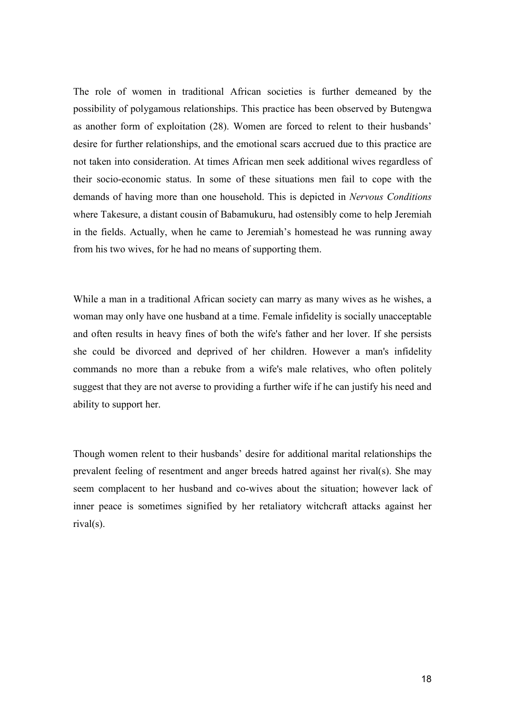The role of women in traditional African societies is further demeaned by the possibility of polygamous relationships. This practice has been observed by Butengwa as another form of exploitation (28). Women are forced to relent to their husbands' desire for further relationships, and the emotional scars accrued due to this practice are not taken into consideration. At times African men seek additional wives regardless of their socio-economic status. In some of these situations men fail to cope with the demands of having more than one household. This is depicted in Nervous Conditions where Takesure, a distant cousin of Babamukuru, had ostensibly come to help Jeremiah in the fields. Actually, when he came to Jeremiah's homestead he was running away from his two wives, for he had no means of supporting them.

While a man in a traditional African society can marry as many wives as he wishes, a woman may only have one husband at a time. Female infidelity is socially unacceptable and often results in heavy fines of both the wife's father and her lover. If she persists she could be divorced and deprived of her children. However a man's infidelity commands no more than a rebuke from a wife's male relatives, who often politely suggest that they are not averse to providing a further wife if he can justify his need and ability to support her.

Though women relent to their husbands' desire for additional marital relationships the prevalent feeling of resentment and anger breeds hatred against her rival(s). She may seem complacent to her husband and co-wives about the situation; however lack of inner peace is sometimes signified by her retaliatory witchcraft attacks against her rival(s).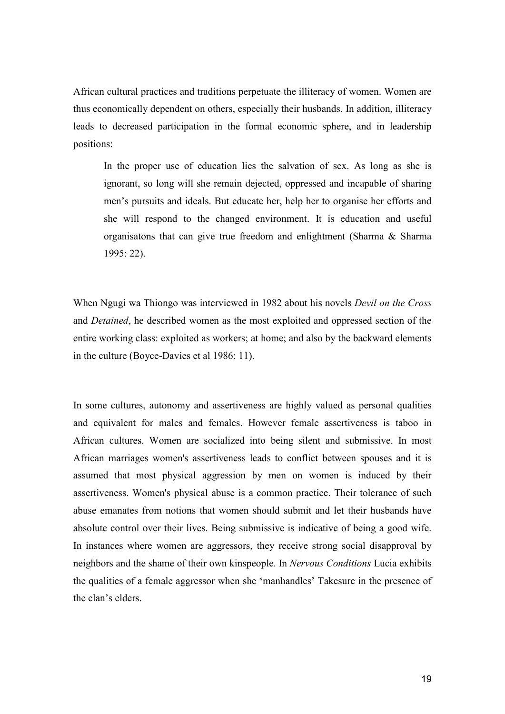African cultural practices and traditions perpetuate the illiteracy of women. Women are thus economically dependent on others, especially their husbands. In addition, illiteracy leads to decreased participation in the formal economic sphere, and in leadership positions:

In the proper use of education lies the salvation of sex. As long as she is ignorant, so long will she remain dejected, oppressed and incapable of sharing men's pursuits and ideals. But educate her, help her to organise her efforts and she will respond to the changed environment. It is education and useful organisatons that can give true freedom and enlightment (Sharma & Sharma 1995: 22).

When Ngugi wa Thiongo was interviewed in 1982 about his novels Devil on the Cross and Detained, he described women as the most exploited and oppressed section of the entire working class: exploited as workers; at home; and also by the backward elements in the culture (Boyce-Davies et al 1986: 11).

In some cultures, autonomy and assertiveness are highly valued as personal qualities and equivalent for males and females. However female assertiveness is taboo in African cultures. Women are socialized into being silent and submissive. In most African marriages women's assertiveness leads to conflict between spouses and it is assumed that most physical aggression by men on women is induced by their assertiveness. Women's physical abuse is a common practice. Their tolerance of such abuse emanates from notions that women should submit and let their husbands have absolute control over their lives. Being submissive is indicative of being a good wife. In instances where women are aggressors, they receive strong social disapproval by neighbors and the shame of their own kinspeople. In Nervous Conditions Lucia exhibits the qualities of a female aggressor when she 'manhandles' Takesure in the presence of the clan's elders.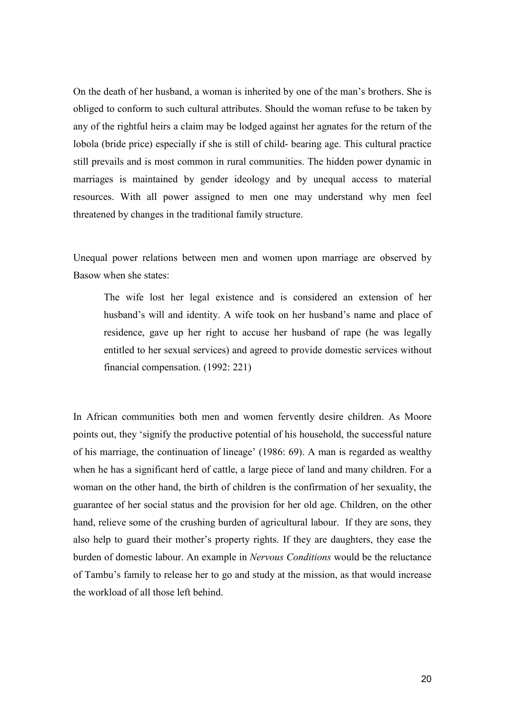On the death of her husband, a woman is inherited by one of the man's brothers. She is obliged to conform to such cultural attributes. Should the woman refuse to be taken by any of the rightful heirs a claim may be lodged against her agnates for the return of the lobola (bride price) especially if she is still of child- bearing age. This cultural practice still prevails and is most common in rural communities. The hidden power dynamic in marriages is maintained by gender ideology and by unequal access to material resources. With all power assigned to men one may understand why men feel threatened by changes in the traditional family structure.

Unequal power relations between men and women upon marriage are observed by Basow when she states:

The wife lost her legal existence and is considered an extension of her husband's will and identity. A wife took on her husband's name and place of residence, gave up her right to accuse her husband of rape (he was legally entitled to her sexual services) and agreed to provide domestic services without financial compensation. (1992: 221)

In African communities both men and women fervently desire children. As Moore points out, they 'signify the productive potential of his household, the successful nature of his marriage, the continuation of lineage' (1986: 69). A man is regarded as wealthy when he has a significant herd of cattle, a large piece of land and many children. For a woman on the other hand, the birth of children is the confirmation of her sexuality, the guarantee of her social status and the provision for her old age. Children, on the other hand, relieve some of the crushing burden of agricultural labour. If they are sons, they also help to guard their mother's property rights. If they are daughters, they ease the burden of domestic labour. An example in Nervous Conditions would be the reluctance of Tambu's family to release her to go and study at the mission, as that would increase the workload of all those left behind.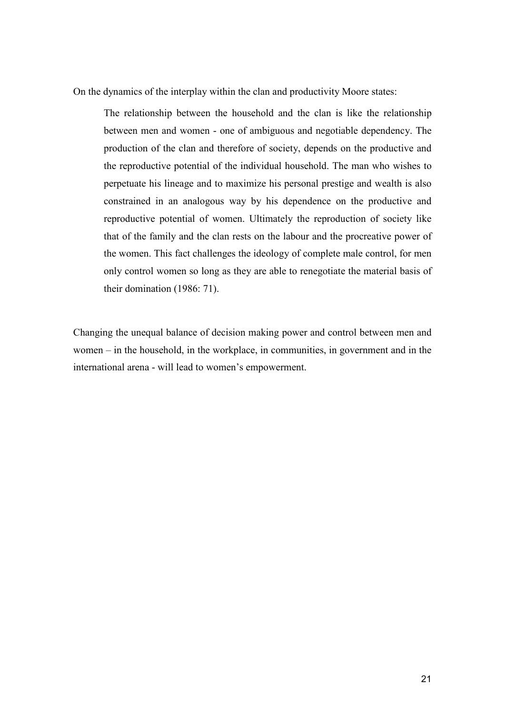On the dynamics of the interplay within the clan and productivity Moore states:

The relationship between the household and the clan is like the relationship between men and women - one of ambiguous and negotiable dependency. The production of the clan and therefore of society, depends on the productive and the reproductive potential of the individual household. The man who wishes to perpetuate his lineage and to maximize his personal prestige and wealth is also constrained in an analogous way by his dependence on the productive and reproductive potential of women. Ultimately the reproduction of society like that of the family and the clan rests on the labour and the procreative power of the women. This fact challenges the ideology of complete male control, for men only control women so long as they are able to renegotiate the material basis of their domination (1986: 71).

Changing the unequal balance of decision making power and control between men and women – in the household, in the workplace, in communities, in government and in the international arena - will lead to women's empowerment.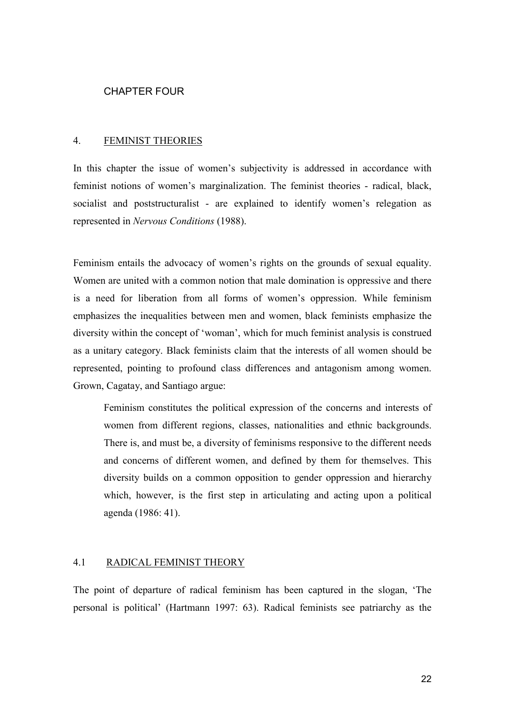#### CHAPTER FOUR

#### 4. FEMINIST THEORIES

In this chapter the issue of women's subjectivity is addressed in accordance with feminist notions of women's marginalization. The feminist theories - radical, black, socialist and poststructuralist - are explained to identify women's relegation as represented in Nervous Conditions (1988).

Feminism entails the advocacy of women's rights on the grounds of sexual equality. Women are united with a common notion that male domination is oppressive and there is a need for liberation from all forms of women's oppression. While feminism emphasizes the inequalities between men and women, black feminists emphasize the diversity within the concept of 'woman', which for much feminist analysis is construed as a unitary category. Black feminists claim that the interests of all women should be represented, pointing to profound class differences and antagonism among women. Grown, Cagatay, and Santiago argue:

Feminism constitutes the political expression of the concerns and interests of women from different regions, classes, nationalities and ethnic backgrounds. There is, and must be, a diversity of feminisms responsive to the different needs and concerns of different women, and defined by them for themselves. This diversity builds on a common opposition to gender oppression and hierarchy which, however, is the first step in articulating and acting upon a political agenda (1986: 41).

### 4.1 RADICAL FEMINIST THEORY

The point of departure of radical feminism has been captured in the slogan, 'The personal is political' (Hartmann 1997: 63). Radical feminists see patriarchy as the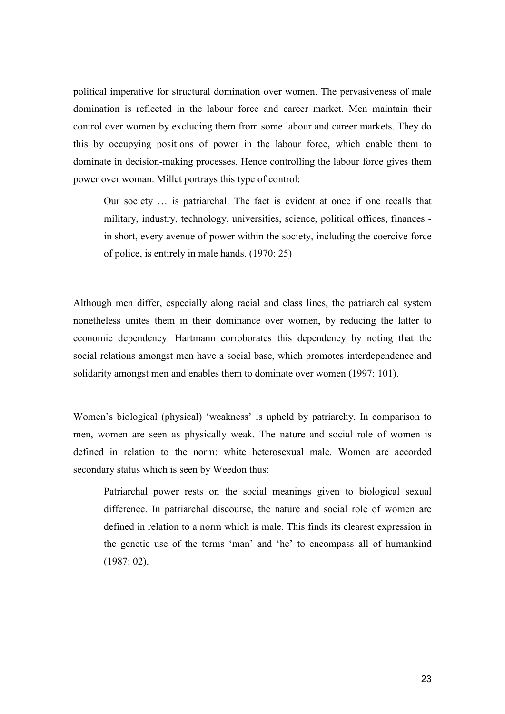political imperative for structural domination over women. The pervasiveness of male domination is reflected in the labour force and career market. Men maintain their control over women by excluding them from some labour and career markets. They do this by occupying positions of power in the labour force, which enable them to dominate in decision-making processes. Hence controlling the labour force gives them power over woman. Millet portrays this type of control:

Our society … is patriarchal. The fact is evident at once if one recalls that military, industry, technology, universities, science, political offices, finances in short, every avenue of power within the society, including the coercive force of police, is entirely in male hands. (1970: 25)

Although men differ, especially along racial and class lines, the patriarchical system nonetheless unites them in their dominance over women, by reducing the latter to economic dependency. Hartmann corroborates this dependency by noting that the social relations amongst men have a social base, which promotes interdependence and solidarity amongst men and enables them to dominate over women (1997: 101).

Women's biological (physical) 'weakness' is upheld by patriarchy. In comparison to men, women are seen as physically weak. The nature and social role of women is defined in relation to the norm: white heterosexual male. Women are accorded secondary status which is seen by Weedon thus:

Patriarchal power rests on the social meanings given to biological sexual difference. In patriarchal discourse, the nature and social role of women are defined in relation to a norm which is male. This finds its clearest expression in the genetic use of the terms 'man' and 'he' to encompass all of humankind (1987: 02).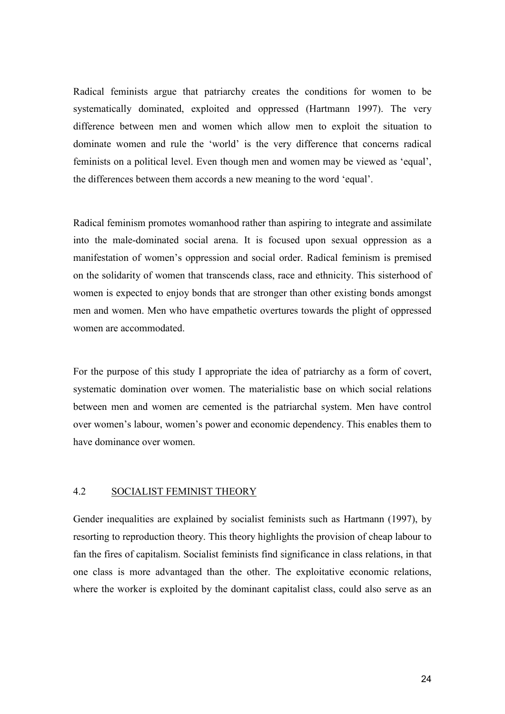Radical feminists argue that patriarchy creates the conditions for women to be systematically dominated, exploited and oppressed (Hartmann 1997). The very difference between men and women which allow men to exploit the situation to dominate women and rule the 'world' is the very difference that concerns radical feminists on a political level. Even though men and women may be viewed as 'equal', the differences between them accords a new meaning to the word 'equal'.

Radical feminism promotes womanhood rather than aspiring to integrate and assimilate into the male-dominated social arena. It is focused upon sexual oppression as a manifestation of women's oppression and social order. Radical feminism is premised on the solidarity of women that transcends class, race and ethnicity. This sisterhood of women is expected to enjoy bonds that are stronger than other existing bonds amongst men and women. Men who have empathetic overtures towards the plight of oppressed women are accommodated.

For the purpose of this study I appropriate the idea of patriarchy as a form of covert, systematic domination over women. The materialistic base on which social relations between men and women are cemented is the patriarchal system. Men have control over women's labour, women's power and economic dependency. This enables them to have dominance over women.

### 4.2 SOCIALIST FEMINIST THEORY

Gender inequalities are explained by socialist feminists such as Hartmann (1997), by resorting to reproduction theory. This theory highlights the provision of cheap labour to fan the fires of capitalism. Socialist feminists find significance in class relations, in that one class is more advantaged than the other. The exploitative economic relations, where the worker is exploited by the dominant capitalist class, could also serve as an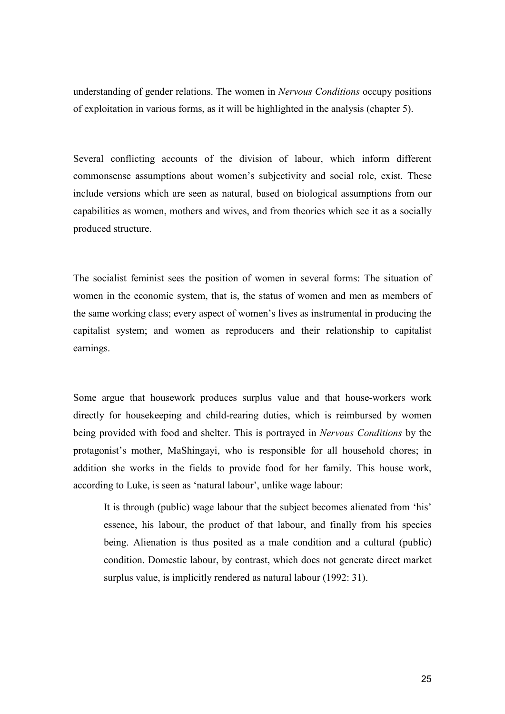understanding of gender relations. The women in Nervous Conditions occupy positions of exploitation in various forms, as it will be highlighted in the analysis (chapter 5).

Several conflicting accounts of the division of labour, which inform different commonsense assumptions about women's subjectivity and social role, exist. These include versions which are seen as natural, based on biological assumptions from our capabilities as women, mothers and wives, and from theories which see it as a socially produced structure.

The socialist feminist sees the position of women in several forms: The situation of women in the economic system, that is, the status of women and men as members of the same working class; every aspect of women's lives as instrumental in producing the capitalist system; and women as reproducers and their relationship to capitalist earnings.

Some argue that housework produces surplus value and that house-workers work directly for housekeeping and child-rearing duties, which is reimbursed by women being provided with food and shelter. This is portrayed in Nervous Conditions by the protagonist's mother, MaShingayi, who is responsible for all household chores; in addition she works in the fields to provide food for her family. This house work, according to Luke, is seen as 'natural labour', unlike wage labour:

It is through (public) wage labour that the subject becomes alienated from 'his' essence, his labour, the product of that labour, and finally from his species being. Alienation is thus posited as a male condition and a cultural (public) condition. Domestic labour, by contrast, which does not generate direct market surplus value, is implicitly rendered as natural labour (1992: 31).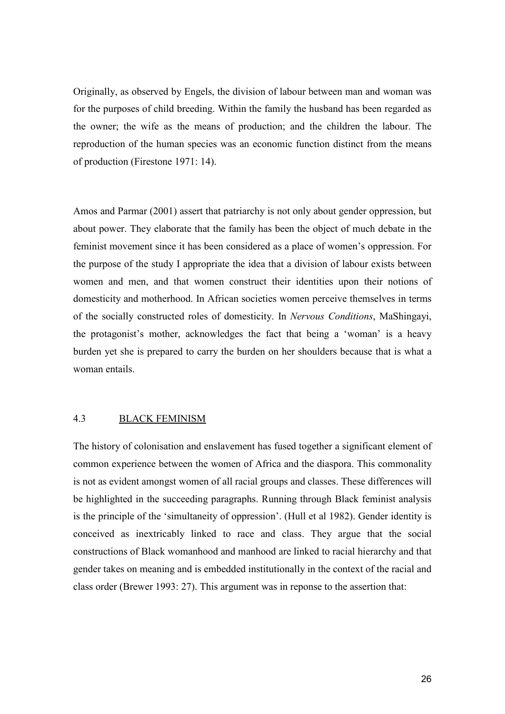Originally, as observed by Engels, the division of labour between man and woman was for the purposes of child breeding. Within the family the husband has been regarded as the owner; the wife as the means of production; and the children the labour. The reproduction of the human species was an economic function distinct from the means of production (Firestone 1971: 14).

Amos and Parmar (2001) assert that patriarchy is not only about gender oppression, but about power. They elaborate that the family has been the object of much debate in the feminist movement since it has been considered as a place of women's oppression. For the purpose of the study I appropriate the idea that a division of labour exists between women and men, and that women construct their identities upon their notions of domesticity and motherhood. In African societies women perceive themselves in terms of the socially constructed roles of domesticity. In Nervous Conditions, MaShingayi, the protagonist's mother, acknowledges the fact that being a 'woman' is a heavy burden yet she is prepared to carry the burden on her shoulders because that is what a woman entails.

## 4.3 BLACK FEMINISM

The history of colonisation and enslavement has fused together a significant element of common experience between the women of Africa and the diaspora. This commonality is not as evident amongst women of all racial groups and classes. These differences will be highlighted in the succeeding paragraphs. Running through Black feminist analysis is the principle of the 'simultaneity of oppression'. (Hull et al 1982). Gender identity is conceived as inextricably linked to race and class. They argue that the social constructions of Black womanhood and manhood are linked to racial hierarchy and that gender takes on meaning and is embedded institutionally in the context of the racial and class order (Brewer 1993: 27). This argument was in reponse to the assertion that: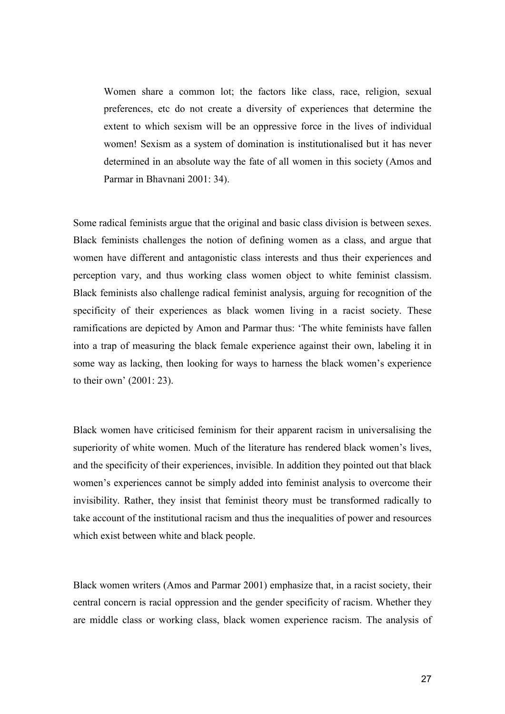Women share a common lot; the factors like class, race, religion, sexual preferences, etc do not create a diversity of experiences that determine the extent to which sexism will be an oppressive force in the lives of individual women! Sexism as a system of domination is institutionalised but it has never determined in an absolute way the fate of all women in this society (Amos and Parmar in Bhavnani 2001: 34).

Some radical feminists argue that the original and basic class division is between sexes. Black feminists challenges the notion of defining women as a class, and argue that women have different and antagonistic class interests and thus their experiences and perception vary, and thus working class women object to white feminist classism. Black feminists also challenge radical feminist analysis, arguing for recognition of the specificity of their experiences as black women living in a racist society. These ramifications are depicted by Amon and Parmar thus: 'The white feminists have fallen into a trap of measuring the black female experience against their own, labeling it in some way as lacking, then looking for ways to harness the black women's experience to their own' (2001: 23).

Black women have criticised feminism for their apparent racism in universalising the superiority of white women. Much of the literature has rendered black women's lives, and the specificity of their experiences, invisible. In addition they pointed out that black women's experiences cannot be simply added into feminist analysis to overcome their invisibility. Rather, they insist that feminist theory must be transformed radically to take account of the institutional racism and thus the inequalities of power and resources which exist between white and black people.

Black women writers (Amos and Parmar 2001) emphasize that, in a racist society, their central concern is racial oppression and the gender specificity of racism. Whether they are middle class or working class, black women experience racism. The analysis of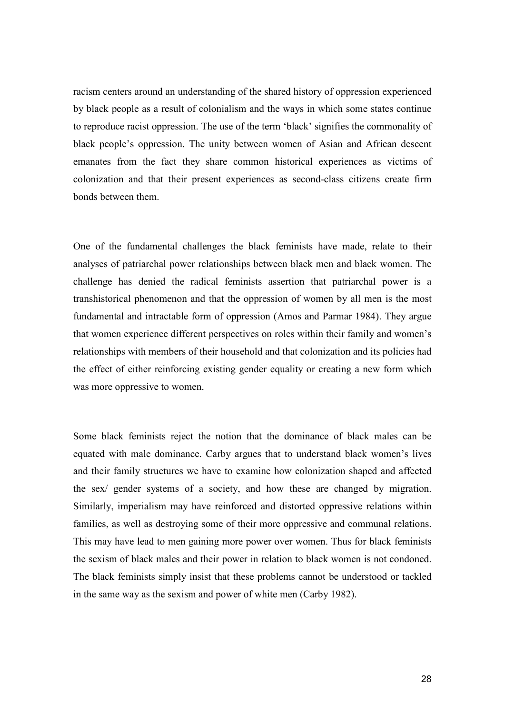racism centers around an understanding of the shared history of oppression experienced by black people as a result of colonialism and the ways in which some states continue to reproduce racist oppression. The use of the term 'black' signifies the commonality of black people's oppression. The unity between women of Asian and African descent emanates from the fact they share common historical experiences as victims of colonization and that their present experiences as second-class citizens create firm bonds between them.

One of the fundamental challenges the black feminists have made, relate to their analyses of patriarchal power relationships between black men and black women. The challenge has denied the radical feminists assertion that patriarchal power is a transhistorical phenomenon and that the oppression of women by all men is the most fundamental and intractable form of oppression (Amos and Parmar 1984). They argue that women experience different perspectives on roles within their family and women's relationships with members of their household and that colonization and its policies had the effect of either reinforcing existing gender equality or creating a new form which was more oppressive to women.

Some black feminists reject the notion that the dominance of black males can be equated with male dominance. Carby argues that to understand black women's lives and their family structures we have to examine how colonization shaped and affected the sex/ gender systems of a society, and how these are changed by migration. Similarly, imperialism may have reinforced and distorted oppressive relations within families, as well as destroying some of their more oppressive and communal relations. This may have lead to men gaining more power over women. Thus for black feminists the sexism of black males and their power in relation to black women is not condoned. The black feminists simply insist that these problems cannot be understood or tackled in the same way as the sexism and power of white men (Carby 1982).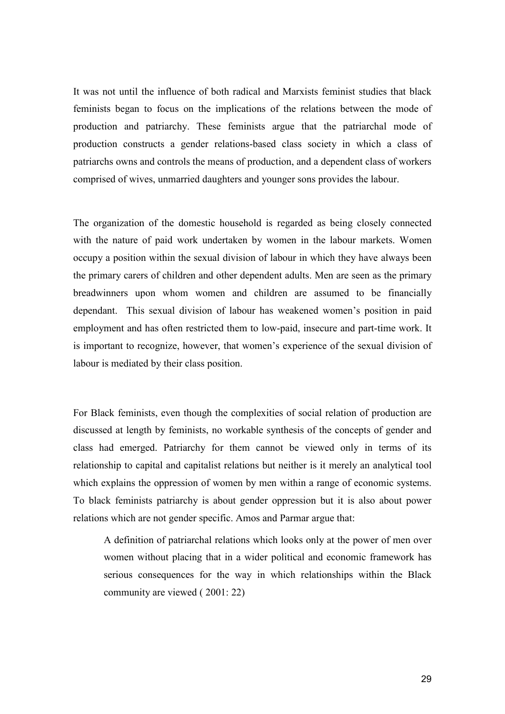It was not until the influence of both radical and Marxists feminist studies that black feminists began to focus on the implications of the relations between the mode of production and patriarchy. These feminists argue that the patriarchal mode of production constructs a gender relations-based class society in which a class of patriarchs owns and controls the means of production, and a dependent class of workers comprised of wives, unmarried daughters and younger sons provides the labour.

The organization of the domestic household is regarded as being closely connected with the nature of paid work undertaken by women in the labour markets. Women occupy a position within the sexual division of labour in which they have always been the primary carers of children and other dependent adults. Men are seen as the primary breadwinners upon whom women and children are assumed to be financially dependant. This sexual division of labour has weakened women's position in paid employment and has often restricted them to low-paid, insecure and part-time work. It is important to recognize, however, that women's experience of the sexual division of labour is mediated by their class position.

For Black feminists, even though the complexities of social relation of production are discussed at length by feminists, no workable synthesis of the concepts of gender and class had emerged. Patriarchy for them cannot be viewed only in terms of its relationship to capital and capitalist relations but neither is it merely an analytical tool which explains the oppression of women by men within a range of economic systems. To black feminists patriarchy is about gender oppression but it is also about power relations which are not gender specific. Amos and Parmar argue that:

A definition of patriarchal relations which looks only at the power of men over women without placing that in a wider political and economic framework has serious consequences for the way in which relationships within the Black community are viewed ( 2001: 22)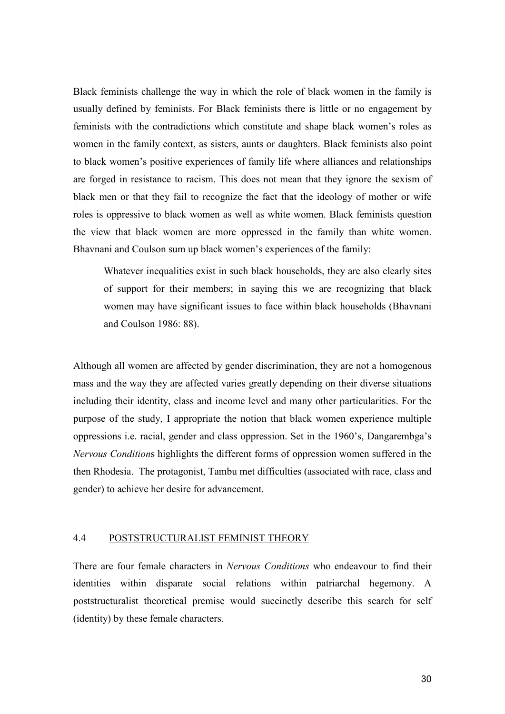Black feminists challenge the way in which the role of black women in the family is usually defined by feminists. For Black feminists there is little or no engagement by feminists with the contradictions which constitute and shape black women's roles as women in the family context, as sisters, aunts or daughters. Black feminists also point to black women's positive experiences of family life where alliances and relationships are forged in resistance to racism. This does not mean that they ignore the sexism of black men or that they fail to recognize the fact that the ideology of mother or wife roles is oppressive to black women as well as white women. Black feminists question the view that black women are more oppressed in the family than white women. Bhavnani and Coulson sum up black women's experiences of the family:

Whatever inequalities exist in such black households, they are also clearly sites of support for their members; in saying this we are recognizing that black women may have significant issues to face within black households (Bhavnani and Coulson 1986: 88).

Although all women are affected by gender discrimination, they are not a homogenous mass and the way they are affected varies greatly depending on their diverse situations including their identity, class and income level and many other particularities. For the purpose of the study, I appropriate the notion that black women experience multiple oppressions i.e. racial, gender and class oppression. Set in the 1960's, Dangarembga's Nervous Conditions highlights the different forms of oppression women suffered in the then Rhodesia. The protagonist, Tambu met difficulties (associated with race, class and gender) to achieve her desire for advancement.

#### 4.4 POSTSTRUCTURALIST FEMINIST THEORY

There are four female characters in Nervous Conditions who endeavour to find their identities within disparate social relations within patriarchal hegemony. A poststructuralist theoretical premise would succinctly describe this search for self (identity) by these female characters.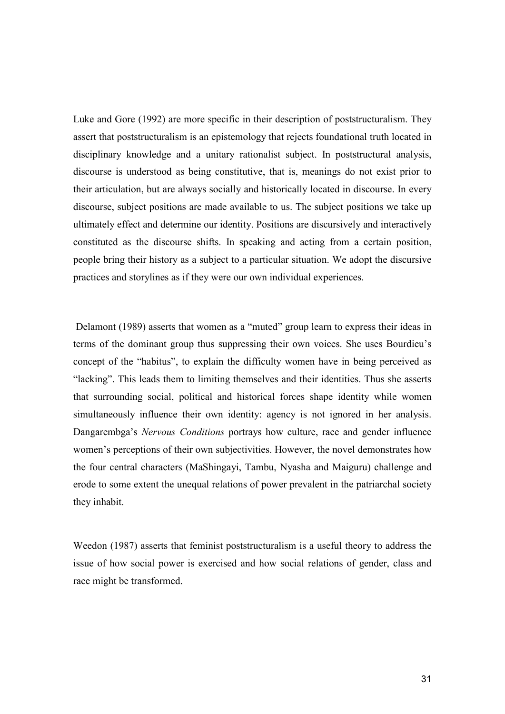Luke and Gore (1992) are more specific in their description of poststructuralism. They assert that poststructuralism is an epistemology that rejects foundational truth located in disciplinary knowledge and a unitary rationalist subject. In poststructural analysis, discourse is understood as being constitutive, that is, meanings do not exist prior to their articulation, but are always socially and historically located in discourse. In every discourse, subject positions are made available to us. The subject positions we take up ultimately effect and determine our identity. Positions are discursively and interactively constituted as the discourse shifts. In speaking and acting from a certain position, people bring their history as a subject to a particular situation. We adopt the discursive practices and storylines as if they were our own individual experiences.

 Delamont (1989) asserts that women as a "muted" group learn to express their ideas in terms of the dominant group thus suppressing their own voices. She uses Bourdieu's concept of the "habitus", to explain the difficulty women have in being perceived as "lacking". This leads them to limiting themselves and their identities. Thus she asserts that surrounding social, political and historical forces shape identity while women simultaneously influence their own identity: agency is not ignored in her analysis. Dangarembga's Nervous Conditions portrays how culture, race and gender influence women's perceptions of their own subjectivities. However, the novel demonstrates how the four central characters (MaShingayi, Tambu, Nyasha and Maiguru) challenge and erode to some extent the unequal relations of power prevalent in the patriarchal society they inhabit.

Weedon (1987) asserts that feminist poststructuralism is a useful theory to address the issue of how social power is exercised and how social relations of gender, class and race might be transformed.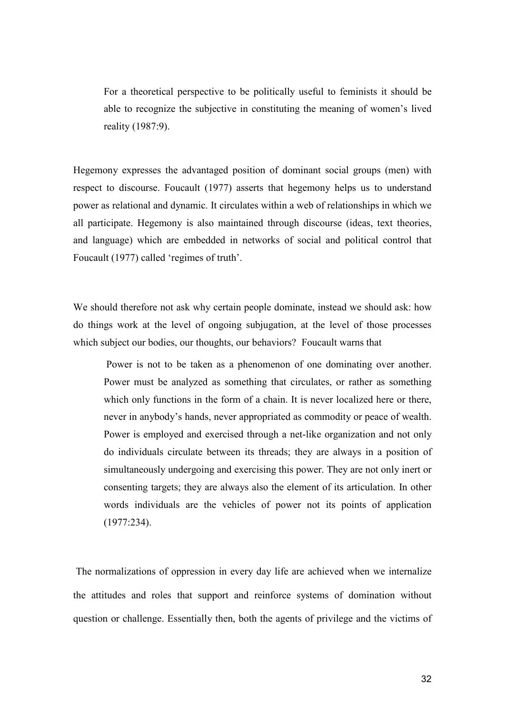For a theoretical perspective to be politically useful to feminists it should be able to recognize the subjective in constituting the meaning of women's lived reality (1987:9).

Hegemony expresses the advantaged position of dominant social groups (men) with respect to discourse. Foucault (1977) asserts that hegemony helps us to understand power as relational and dynamic. It circulates within a web of relationships in which we all participate. Hegemony is also maintained through discourse (ideas, text theories, and language) which are embedded in networks of social and political control that Foucault (1977) called 'regimes of truth'.

We should therefore not ask why certain people dominate, instead we should ask: how do things work at the level of ongoing subjugation, at the level of those processes which subject our bodies, our thoughts, our behaviors? Foucault warns that

 Power is not to be taken as a phenomenon of one dominating over another. Power must be analyzed as something that circulates, or rather as something which only functions in the form of a chain. It is never localized here or there, never in anybody's hands, never appropriated as commodity or peace of wealth. Power is employed and exercised through a net-like organization and not only do individuals circulate between its threads; they are always in a position of simultaneously undergoing and exercising this power. They are not only inert or consenting targets; they are always also the element of its articulation. In other words individuals are the vehicles of power not its points of application (1977:234).

 The normalizations of oppression in every day life are achieved when we internalize the attitudes and roles that support and reinforce systems of domination without question or challenge. Essentially then, both the agents of privilege and the victims of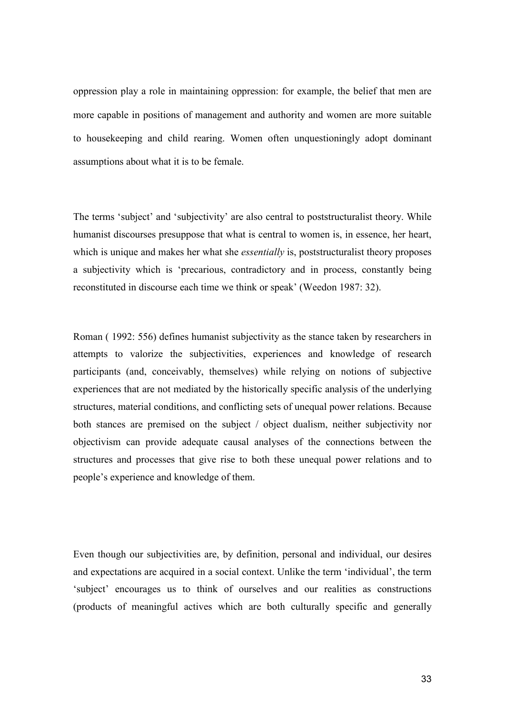oppression play a role in maintaining oppression: for example, the belief that men are more capable in positions of management and authority and women are more suitable to housekeeping and child rearing. Women often unquestioningly adopt dominant assumptions about what it is to be female.

The terms 'subject' and 'subjectivity' are also central to poststructuralist theory. While humanist discourses presuppose that what is central to women is, in essence, her heart, which is unique and makes her what she *essentially* is, poststructuralist theory proposes a subjectivity which is 'precarious, contradictory and in process, constantly being reconstituted in discourse each time we think or speak' (Weedon 1987: 32).

Roman ( 1992: 556) defines humanist subjectivity as the stance taken by researchers in attempts to valorize the subjectivities, experiences and knowledge of research participants (and, conceivably, themselves) while relying on notions of subjective experiences that are not mediated by the historically specific analysis of the underlying structures, material conditions, and conflicting sets of unequal power relations. Because both stances are premised on the subject / object dualism, neither subjectivity nor objectivism can provide adequate causal analyses of the connections between the structures and processes that give rise to both these unequal power relations and to people's experience and knowledge of them.

Even though our subjectivities are, by definition, personal and individual, our desires and expectations are acquired in a social context. Unlike the term 'individual', the term 'subject' encourages us to think of ourselves and our realities as constructions (products of meaningful actives which are both culturally specific and generally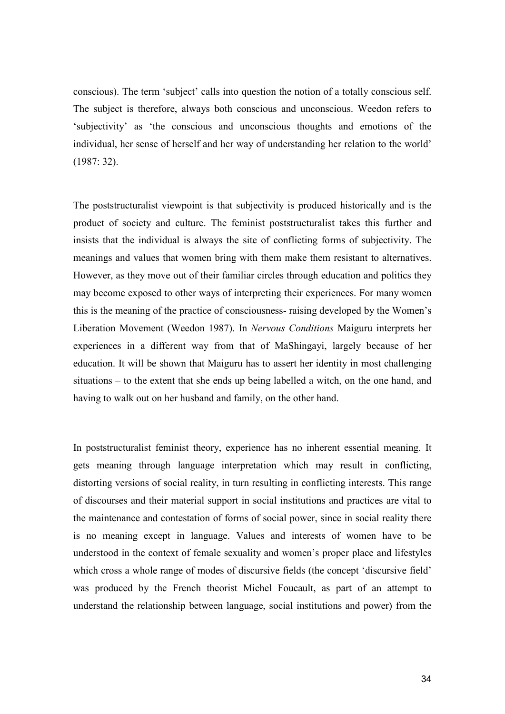conscious). The term 'subject' calls into question the notion of a totally conscious self. The subject is therefore, always both conscious and unconscious. Weedon refers to 'subjectivity' as 'the conscious and unconscious thoughts and emotions of the individual, her sense of herself and her way of understanding her relation to the world' (1987: 32).

The poststructuralist viewpoint is that subjectivity is produced historically and is the product of society and culture. The feminist poststructuralist takes this further and insists that the individual is always the site of conflicting forms of subjectivity. The meanings and values that women bring with them make them resistant to alternatives. However, as they move out of their familiar circles through education and politics they may become exposed to other ways of interpreting their experiences. For many women this is the meaning of the practice of consciousness- raising developed by the Women's Liberation Movement (Weedon 1987). In Nervous Conditions Maiguru interprets her experiences in a different way from that of MaShingayi, largely because of her education. It will be shown that Maiguru has to assert her identity in most challenging situations – to the extent that she ends up being labelled a witch, on the one hand, and having to walk out on her husband and family, on the other hand.

In poststructuralist feminist theory, experience has no inherent essential meaning. It gets meaning through language interpretation which may result in conflicting, distorting versions of social reality, in turn resulting in conflicting interests. This range of discourses and their material support in social institutions and practices are vital to the maintenance and contestation of forms of social power, since in social reality there is no meaning except in language. Values and interests of women have to be understood in the context of female sexuality and women's proper place and lifestyles which cross a whole range of modes of discursive fields (the concept 'discursive field' was produced by the French theorist Michel Foucault, as part of an attempt to understand the relationship between language, social institutions and power) from the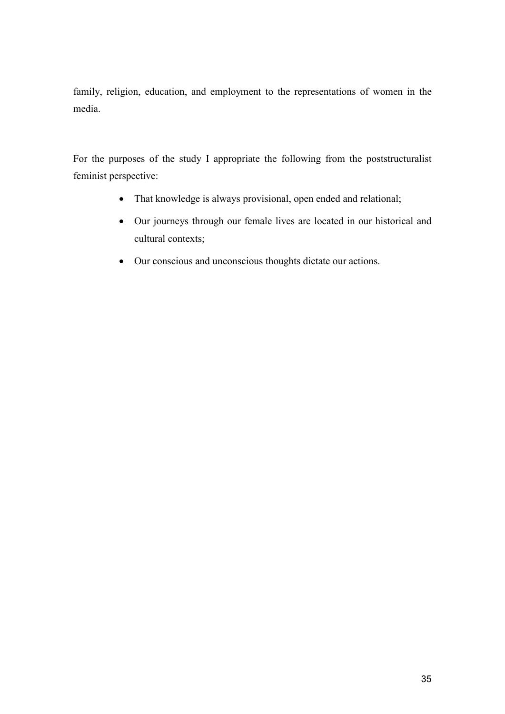family, religion, education, and employment to the representations of women in the media.

For the purposes of the study I appropriate the following from the poststructuralist feminist perspective:

- That knowledge is always provisional, open ended and relational;
- Our journeys through our female lives are located in our historical and cultural contexts;
- Our conscious and unconscious thoughts dictate our actions.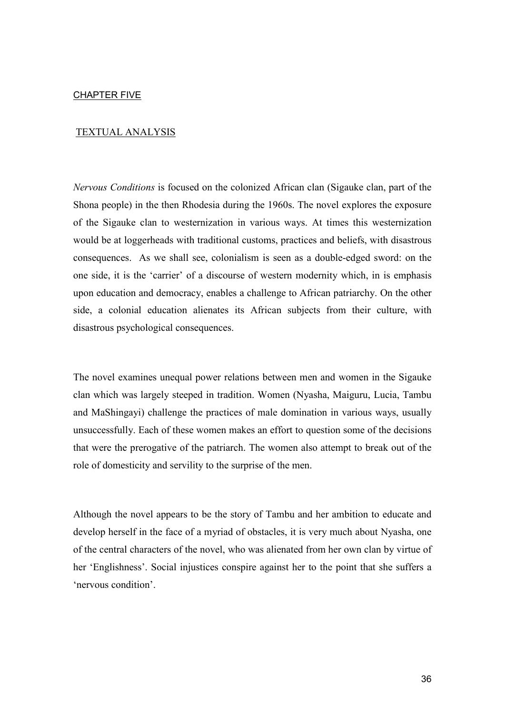### TEXTUAL ANALYSIS

Nervous Conditions is focused on the colonized African clan (Sigauke clan, part of the Shona people) in the then Rhodesia during the 1960s. The novel explores the exposure of the Sigauke clan to westernization in various ways. At times this westernization would be at loggerheads with traditional customs, practices and beliefs, with disastrous consequences. As we shall see, colonialism is seen as a double-edged sword: on the one side, it is the 'carrier' of a discourse of western modernity which, in is emphasis upon education and democracy, enables a challenge to African patriarchy. On the other side, a colonial education alienates its African subjects from their culture, with disastrous psychological consequences.

The novel examines unequal power relations between men and women in the Sigauke clan which was largely steeped in tradition. Women (Nyasha, Maiguru, Lucia, Tambu and MaShingayi) challenge the practices of male domination in various ways, usually unsuccessfully. Each of these women makes an effort to question some of the decisions that were the prerogative of the patriarch. The women also attempt to break out of the role of domesticity and servility to the surprise of the men.

Although the novel appears to be the story of Tambu and her ambition to educate and develop herself in the face of a myriad of obstacles, it is very much about Nyasha, one of the central characters of the novel, who was alienated from her own clan by virtue of her 'Englishness'. Social injustices conspire against her to the point that she suffers a 'nervous condition'.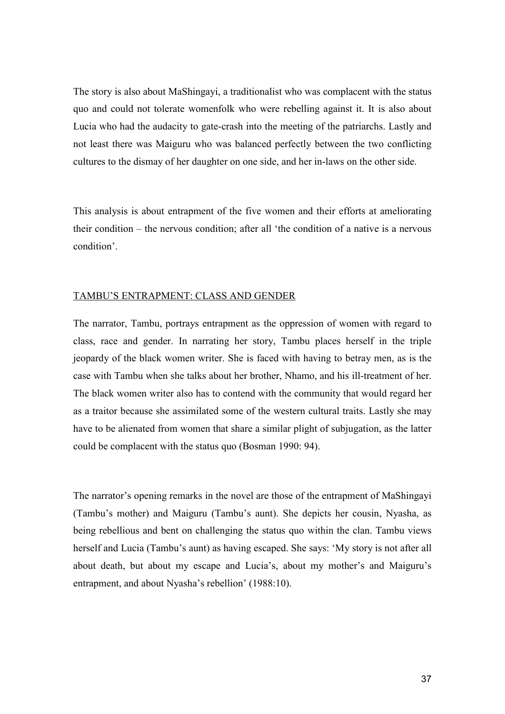The story is also about MaShingayi, a traditionalist who was complacent with the status quo and could not tolerate womenfolk who were rebelling against it. It is also about Lucia who had the audacity to gate-crash into the meeting of the patriarchs. Lastly and not least there was Maiguru who was balanced perfectly between the two conflicting cultures to the dismay of her daughter on one side, and her in-laws on the other side.

This analysis is about entrapment of the five women and their efforts at ameliorating their condition – the nervous condition; after all 'the condition of a native is a nervous condition'.

#### TAMBU'S ENTRAPMENT: CLASS AND GENDER

The narrator, Tambu, portrays entrapment as the oppression of women with regard to class, race and gender. In narrating her story, Tambu places herself in the triple jeopardy of the black women writer. She is faced with having to betray men, as is the case with Tambu when she talks about her brother, Nhamo, and his ill-treatment of her. The black women writer also has to contend with the community that would regard her as a traitor because she assimilated some of the western cultural traits. Lastly she may have to be alienated from women that share a similar plight of subjugation, as the latter could be complacent with the status quo (Bosman 1990: 94).

The narrator's opening remarks in the novel are those of the entrapment of MaShingayi (Tambu's mother) and Maiguru (Tambu's aunt). She depicts her cousin, Nyasha, as being rebellious and bent on challenging the status quo within the clan. Tambu views herself and Lucia (Tambu's aunt) as having escaped. She says: 'My story is not after all about death, but about my escape and Lucia's, about my mother's and Maiguru's entrapment, and about Nyasha's rebellion' (1988:10).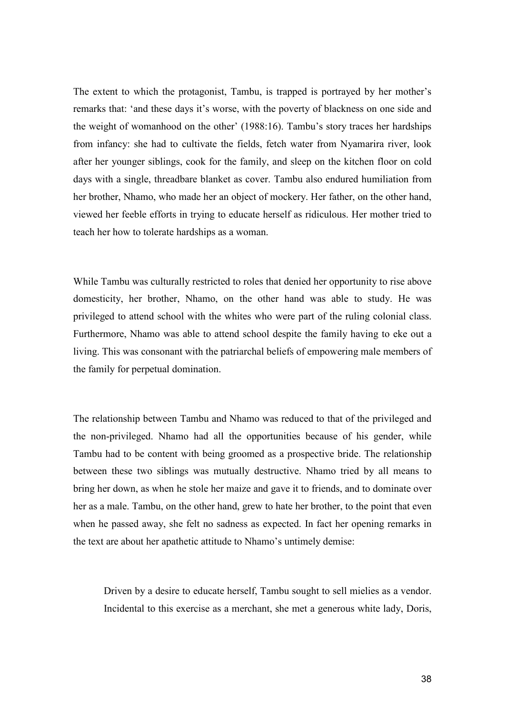The extent to which the protagonist, Tambu, is trapped is portrayed by her mother's remarks that: 'and these days it's worse, with the poverty of blackness on one side and the weight of womanhood on the other' (1988:16). Tambu's story traces her hardships from infancy: she had to cultivate the fields, fetch water from Nyamarira river, look after her younger siblings, cook for the family, and sleep on the kitchen floor on cold days with a single, threadbare blanket as cover. Tambu also endured humiliation from her brother, Nhamo, who made her an object of mockery. Her father, on the other hand, viewed her feeble efforts in trying to educate herself as ridiculous. Her mother tried to teach her how to tolerate hardships as a woman.

While Tambu was culturally restricted to roles that denied her opportunity to rise above domesticity, her brother, Nhamo, on the other hand was able to study. He was privileged to attend school with the whites who were part of the ruling colonial class. Furthermore, Nhamo was able to attend school despite the family having to eke out a living. This was consonant with the patriarchal beliefs of empowering male members of the family for perpetual domination.

The relationship between Tambu and Nhamo was reduced to that of the privileged and the non-privileged. Nhamo had all the opportunities because of his gender, while Tambu had to be content with being groomed as a prospective bride. The relationship between these two siblings was mutually destructive. Nhamo tried by all means to bring her down, as when he stole her maize and gave it to friends, and to dominate over her as a male. Tambu, on the other hand, grew to hate her brother, to the point that even when he passed away, she felt no sadness as expected. In fact her opening remarks in the text are about her apathetic attitude to Nhamo's untimely demise:

Driven by a desire to educate herself, Tambu sought to sell mielies as a vendor. Incidental to this exercise as a merchant, she met a generous white lady, Doris,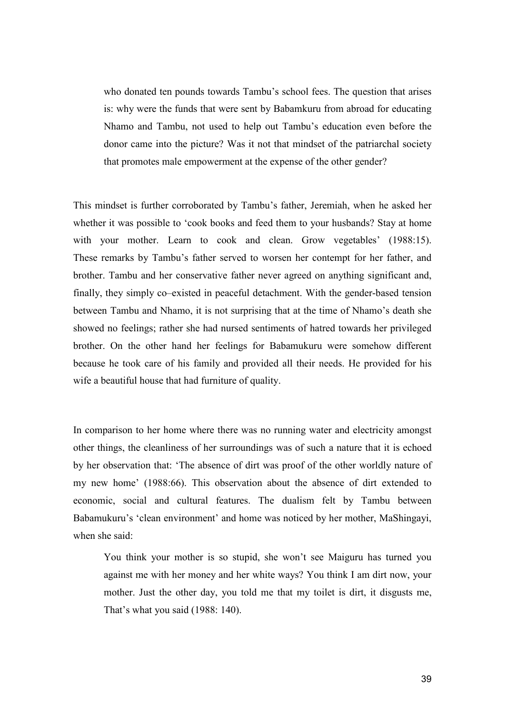who donated ten pounds towards Tambu's school fees. The question that arises is: why were the funds that were sent by Babamkuru from abroad for educating Nhamo and Tambu, not used to help out Tambu's education even before the donor came into the picture? Was it not that mindset of the patriarchal society that promotes male empowerment at the expense of the other gender?

This mindset is further corroborated by Tambu's father, Jeremiah, when he asked her whether it was possible to 'cook books and feed them to your husbands? Stay at home with your mother. Learn to cook and clean. Grow vegetables' (1988:15). These remarks by Tambu's father served to worsen her contempt for her father, and brother. Tambu and her conservative father never agreed on anything significant and, finally, they simply co–existed in peaceful detachment. With the gender-based tension between Tambu and Nhamo, it is not surprising that at the time of Nhamo's death she showed no feelings; rather she had nursed sentiments of hatred towards her privileged brother. On the other hand her feelings for Babamukuru were somehow different because he took care of his family and provided all their needs. He provided for his wife a beautiful house that had furniture of quality.

In comparison to her home where there was no running water and electricity amongst other things, the cleanliness of her surroundings was of such a nature that it is echoed by her observation that: 'The absence of dirt was proof of the other worldly nature of my new home' (1988:66). This observation about the absence of dirt extended to economic, social and cultural features. The dualism felt by Tambu between Babamukuru's 'clean environment' and home was noticed by her mother, MaShingayi, when she said:

You think your mother is so stupid, she won't see Maiguru has turned you against me with her money and her white ways? You think I am dirt now, your mother. Just the other day, you told me that my toilet is dirt, it disgusts me, That's what you said (1988: 140).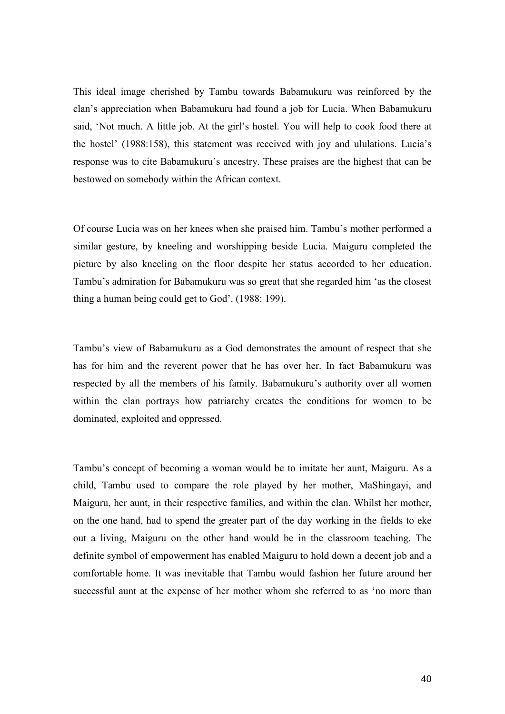This ideal image cherished by Tambu towards Babamukuru was reinforced by the clan's appreciation when Babamukuru had found a job for Lucia. When Babamukuru said, 'Not much. A little job. At the girl's hostel. You will help to cook food there at the hostel' (1988:158), this statement was received with joy and ululations. Lucia's response was to cite Babamukuru's ancestry. These praises are the highest that can be bestowed on somebody within the African context.

Of course Lucia was on her knees when she praised him. Tambu's mother performed a similar gesture, by kneeling and worshipping beside Lucia. Maiguru completed the picture by also kneeling on the floor despite her status accorded to her education. Tambu's admiration for Babamukuru was so great that she regarded him 'as the closest thing a human being could get to God'. (1988: 199).

Tambu's view of Babamukuru as a God demonstrates the amount of respect that she has for him and the reverent power that he has over her. In fact Babamukuru was respected by all the members of his family. Babamukuru's authority over all women within the clan portrays how patriarchy creates the conditions for women to be dominated, exploited and oppressed.

Tambu's concept of becoming a woman would be to imitate her aunt, Maiguru. As a child, Tambu used to compare the role played by her mother, MaShingayi, and Maiguru, her aunt, in their respective families, and within the clan. Whilst her mother, on the one hand, had to spend the greater part of the day working in the fields to eke out a living, Maiguru on the other hand would be in the classroom teaching. The definite symbol of empowerment has enabled Maiguru to hold down a decent job and a comfortable home. It was inevitable that Tambu would fashion her future around her successful aunt at the expense of her mother whom she referred to as 'no more than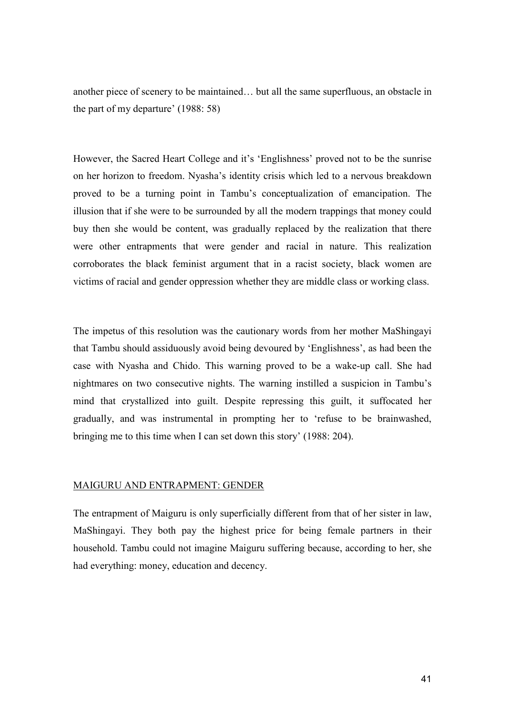another piece of scenery to be maintained… but all the same superfluous, an obstacle in the part of my departure' (1988: 58)

However, the Sacred Heart College and it's 'Englishness' proved not to be the sunrise on her horizon to freedom. Nyasha's identity crisis which led to a nervous breakdown proved to be a turning point in Tambu's conceptualization of emancipation. The illusion that if she were to be surrounded by all the modern trappings that money could buy then she would be content, was gradually replaced by the realization that there were other entrapments that were gender and racial in nature. This realization corroborates the black feminist argument that in a racist society, black women are victims of racial and gender oppression whether they are middle class or working class.

The impetus of this resolution was the cautionary words from her mother MaShingayi that Tambu should assiduously avoid being devoured by 'Englishness', as had been the case with Nyasha and Chido. This warning proved to be a wake-up call. She had nightmares on two consecutive nights. The warning instilled a suspicion in Tambu's mind that crystallized into guilt. Despite repressing this guilt, it suffocated her gradually, and was instrumental in prompting her to 'refuse to be brainwashed, bringing me to this time when I can set down this story' (1988: 204).

#### MAIGURU AND ENTRAPMENT: GENDER

The entrapment of Maiguru is only superficially different from that of her sister in law, MaShingayi. They both pay the highest price for being female partners in their household. Tambu could not imagine Maiguru suffering because, according to her, she had everything: money, education and decency.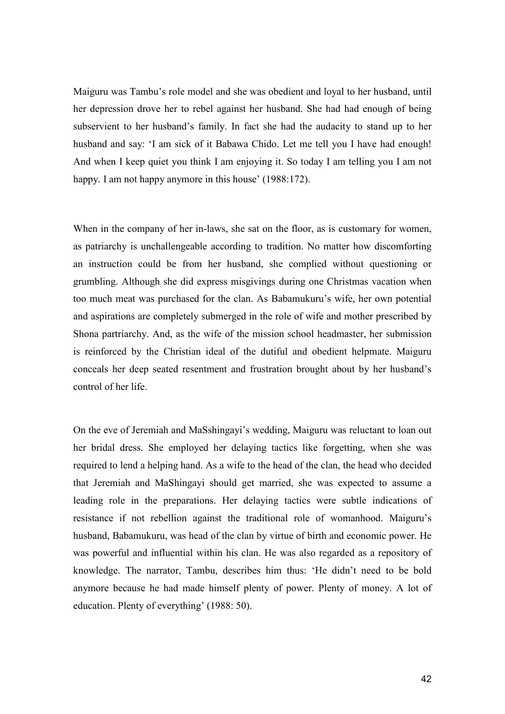Maiguru was Tambu's role model and she was obedient and loyal to her husband, until her depression drove her to rebel against her husband. She had had enough of being subservient to her husband's family. In fact she had the audacity to stand up to her husband and say: 'I am sick of it Babawa Chido. Let me tell you I have had enough! And when I keep quiet you think I am enjoying it. So today I am telling you I am not happy. I am not happy anymore in this house' (1988:172).

When in the company of her in-laws, she sat on the floor, as is customary for women, as patriarchy is unchallengeable according to tradition. No matter how discomforting an instruction could be from her husband, she complied without questioning or grumbling. Although she did express misgivings during one Christmas vacation when too much meat was purchased for the clan. As Babamukuru's wife, her own potential and aspirations are completely submerged in the role of wife and mother prescribed by Shona partriarchy. And, as the wife of the mission school headmaster, her submission is reinforced by the Christian ideal of the dutiful and obedient helpmate. Maiguru conceals her deep seated resentment and frustration brought about by her husband's control of her life.

On the eve of Jeremiah and MaSshingayi's wedding, Maiguru was reluctant to loan out her bridal dress. She employed her delaying tactics like forgetting, when she was required to lend a helping hand. As a wife to the head of the clan, the head who decided that Jeremiah and MaShingayi should get married, she was expected to assume a leading role in the preparations. Her delaying tactics were subtle indications of resistance if not rebellion against the traditional role of womanhood. Maiguru's husband, Babamukuru, was head of the clan by virtue of birth and economic power. He was powerful and influential within his clan. He was also regarded as a repository of knowledge. The narrator, Tambu, describes him thus: 'He didn't need to be bold anymore because he had made himself plenty of power. Plenty of money. A lot of education. Plenty of everything' (1988: 50).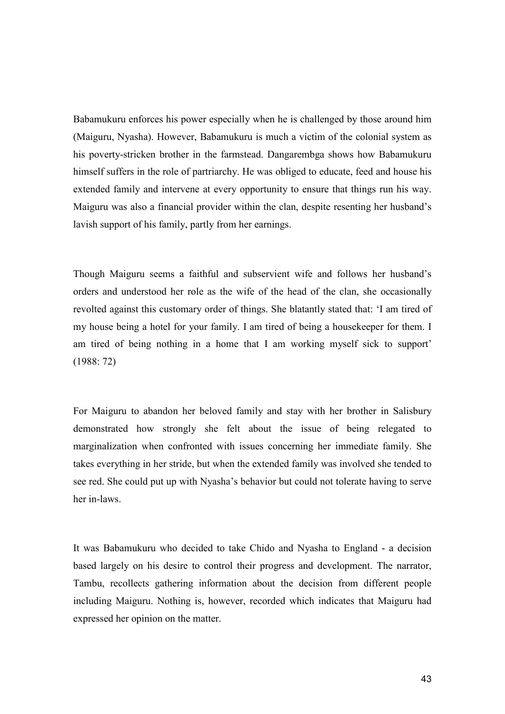Babamukuru enforces his power especially when he is challenged by those around him (Maiguru, Nyasha). However, Babamukuru is much a victim of the colonial system as his poverty-stricken brother in the farmstead. Dangarembga shows how Babamukuru himself suffers in the role of partriarchy. He was obliged to educate, feed and house his extended family and intervene at every opportunity to ensure that things run his way. Maiguru was also a financial provider within the clan, despite resenting her husband's lavish support of his family, partly from her earnings.

Though Maiguru seems a faithful and subservient wife and follows her husband's orders and understood her role as the wife of the head of the clan, she occasionally revolted against this customary order of things. She blatantly stated that: 'I am tired of my house being a hotel for your family. I am tired of being a housekeeper for them. I am tired of being nothing in a home that I am working myself sick to support' (1988: 72)

For Maiguru to abandon her beloved family and stay with her brother in Salisbury demonstrated how strongly she felt about the issue of being relegated to marginalization when confronted with issues concerning her immediate family. She takes everything in her stride, but when the extended family was involved she tended to see red. She could put up with Nyasha's behavior but could not tolerate having to serve her in-laws.

It was Babamukuru who decided to take Chido and Nyasha to England - a decision based largely on his desire to control their progress and development. The narrator, Tambu, recollects gathering information about the decision from different people including Maiguru. Nothing is, however, recorded which indicates that Maiguru had expressed her opinion on the matter.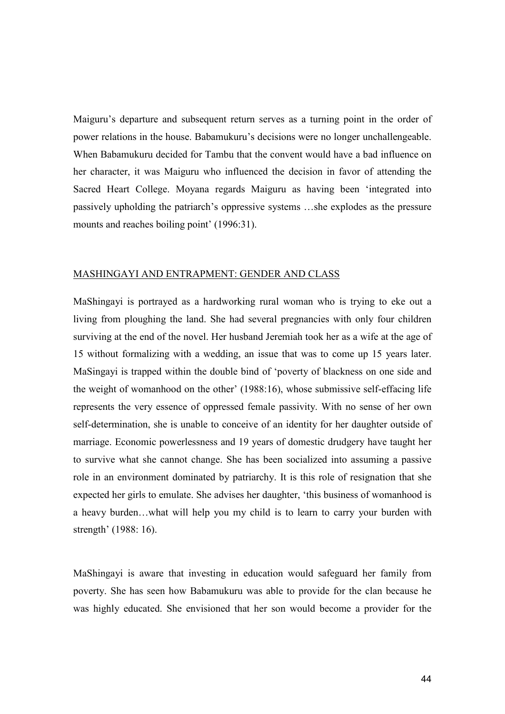Maiguru's departure and subsequent return serves as a turning point in the order of power relations in the house. Babamukuru's decisions were no longer unchallengeable. When Babamukuru decided for Tambu that the convent would have a bad influence on her character, it was Maiguru who influenced the decision in favor of attending the Sacred Heart College. Moyana regards Maiguru as having been 'integrated into passively upholding the patriarch's oppressive systems …she explodes as the pressure mounts and reaches boiling point' (1996:31).

#### MASHINGAYI AND ENTRAPMENT: GENDER AND CLASS

MaShingayi is portrayed as a hardworking rural woman who is trying to eke out a living from ploughing the land. She had several pregnancies with only four children surviving at the end of the novel. Her husband Jeremiah took her as a wife at the age of 15 without formalizing with a wedding, an issue that was to come up 15 years later. MaSingayi is trapped within the double bind of 'poverty of blackness on one side and the weight of womanhood on the other' (1988:16), whose submissive self-effacing life represents the very essence of oppressed female passivity. With no sense of her own self-determination, she is unable to conceive of an identity for her daughter outside of marriage. Economic powerlessness and 19 years of domestic drudgery have taught her to survive what she cannot change. She has been socialized into assuming a passive role in an environment dominated by patriarchy. It is this role of resignation that she expected her girls to emulate. She advises her daughter, 'this business of womanhood is a heavy burden…what will help you my child is to learn to carry your burden with strength' (1988: 16).

MaShingayi is aware that investing in education would safeguard her family from poverty. She has seen how Babamukuru was able to provide for the clan because he was highly educated. She envisioned that her son would become a provider for the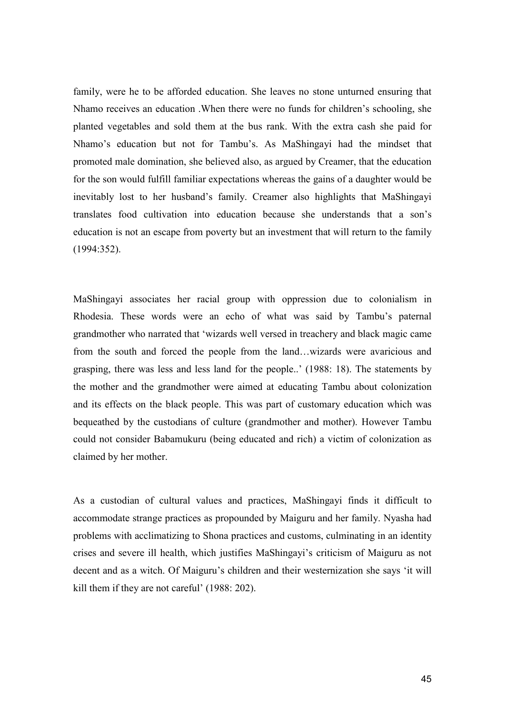family, were he to be afforded education. She leaves no stone unturned ensuring that Nhamo receives an education .When there were no funds for children's schooling, she planted vegetables and sold them at the bus rank. With the extra cash she paid for Nhamo's education but not for Tambu's. As MaShingayi had the mindset that promoted male domination, she believed also, as argued by Creamer, that the education for the son would fulfill familiar expectations whereas the gains of a daughter would be inevitably lost to her husband's family. Creamer also highlights that MaShingayi translates food cultivation into education because she understands that a son's education is not an escape from poverty but an investment that will return to the family (1994:352).

MaShingayi associates her racial group with oppression due to colonialism in Rhodesia. These words were an echo of what was said by Tambu's paternal grandmother who narrated that 'wizards well versed in treachery and black magic came from the south and forced the people from the land…wizards were avaricious and grasping, there was less and less land for the people..' (1988: 18). The statements by the mother and the grandmother were aimed at educating Tambu about colonization and its effects on the black people. This was part of customary education which was bequeathed by the custodians of culture (grandmother and mother). However Tambu could not consider Babamukuru (being educated and rich) a victim of colonization as claimed by her mother.

As a custodian of cultural values and practices, MaShingayi finds it difficult to accommodate strange practices as propounded by Maiguru and her family. Nyasha had problems with acclimatizing to Shona practices and customs, culminating in an identity crises and severe ill health, which justifies MaShingayi's criticism of Maiguru as not decent and as a witch. Of Maiguru's children and their westernization she says 'it will kill them if they are not careful' (1988: 202).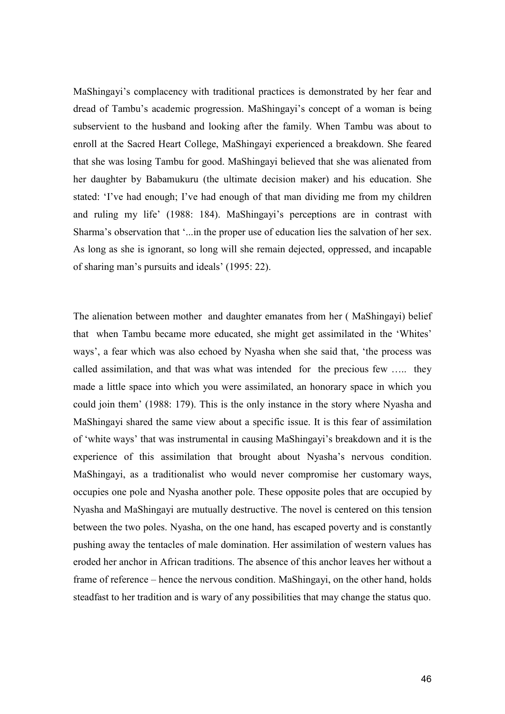MaShingayi's complacency with traditional practices is demonstrated by her fear and dread of Tambu's academic progression. MaShingayi's concept of a woman is being subservient to the husband and looking after the family. When Tambu was about to enroll at the Sacred Heart College, MaShingayi experienced a breakdown. She feared that she was losing Tambu for good. MaShingayi believed that she was alienated from her daughter by Babamukuru (the ultimate decision maker) and his education. She stated: 'I've had enough; I've had enough of that man dividing me from my children and ruling my life' (1988: 184). MaShingayi's perceptions are in contrast with Sharma's observation that '...in the proper use of education lies the salvation of her sex. As long as she is ignorant, so long will she remain dejected, oppressed, and incapable of sharing man's pursuits and ideals' (1995: 22).

The alienation between mother and daughter emanates from her ( MaShingayi) belief that when Tambu became more educated, she might get assimilated in the 'Whites' ways', a fear which was also echoed by Nyasha when she said that, 'the process was called assimilation, and that was what was intended for the precious few ….. they made a little space into which you were assimilated, an honorary space in which you could join them' (1988: 179). This is the only instance in the story where Nyasha and MaShingayi shared the same view about a specific issue. It is this fear of assimilation of 'white ways' that was instrumental in causing MaShingayi's breakdown and it is the experience of this assimilation that brought about Nyasha's nervous condition. MaShingayi, as a traditionalist who would never compromise her customary ways, occupies one pole and Nyasha another pole. These opposite poles that are occupied by Nyasha and MaShingayi are mutually destructive. The novel is centered on this tension between the two poles. Nyasha, on the one hand, has escaped poverty and is constantly pushing away the tentacles of male domination. Her assimilation of western values has eroded her anchor in African traditions. The absence of this anchor leaves her without a frame of reference – hence the nervous condition. MaShingayi, on the other hand, holds steadfast to her tradition and is wary of any possibilities that may change the status quo.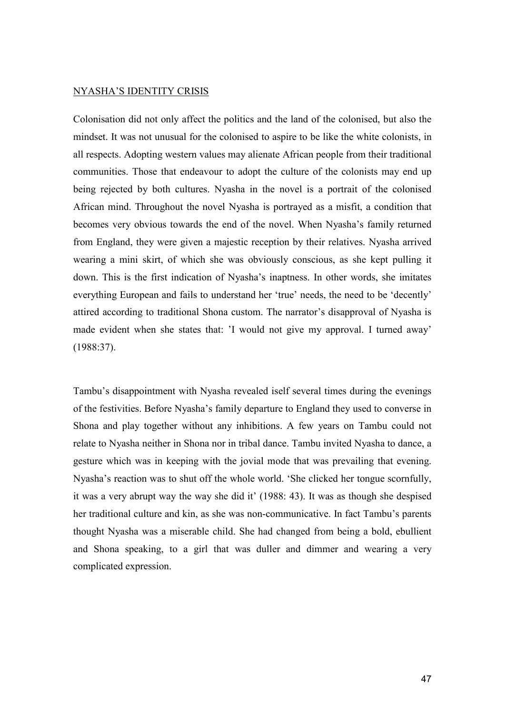#### NYASHA'S IDENTITY CRISIS

Colonisation did not only affect the politics and the land of the colonised, but also the mindset. It was not unusual for the colonised to aspire to be like the white colonists, in all respects. Adopting western values may alienate African people from their traditional communities. Those that endeavour to adopt the culture of the colonists may end up being rejected by both cultures. Nyasha in the novel is a portrait of the colonised African mind. Throughout the novel Nyasha is portrayed as a misfit, a condition that becomes very obvious towards the end of the novel. When Nyasha's family returned from England, they were given a majestic reception by their relatives. Nyasha arrived wearing a mini skirt, of which she was obviously conscious, as she kept pulling it down. This is the first indication of Nyasha's inaptness. In other words, she imitates everything European and fails to understand her 'true' needs, the need to be 'decently' attired according to traditional Shona custom. The narrator's disapproval of Nyasha is made evident when she states that: 'I would not give my approval. I turned away' (1988:37).

Tambu's disappointment with Nyasha revealed iself several times during the evenings of the festivities. Before Nyasha's family departure to England they used to converse in Shona and play together without any inhibitions. A few years on Tambu could not relate to Nyasha neither in Shona nor in tribal dance. Tambu invited Nyasha to dance, a gesture which was in keeping with the jovial mode that was prevailing that evening. Nyasha's reaction was to shut off the whole world. 'She clicked her tongue scornfully, it was a very abrupt way the way she did it' (1988: 43). It was as though she despised her traditional culture and kin, as she was non-communicative. In fact Tambu's parents thought Nyasha was a miserable child. She had changed from being a bold, ebullient and Shona speaking, to a girl that was duller and dimmer and wearing a very complicated expression.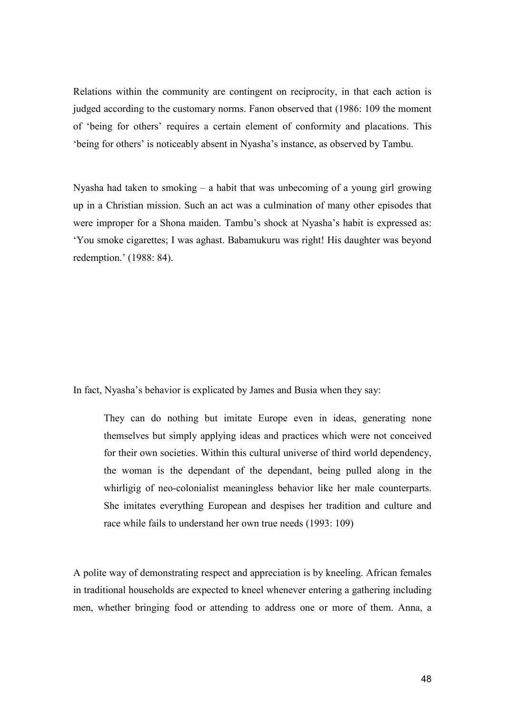Relations within the community are contingent on reciprocity, in that each action is judged according to the customary norms. Fanon observed that (1986: 109 the moment of 'being for others' requires a certain element of conformity and placations. This 'being for others' is noticeably absent in Nyasha's instance, as observed by Tambu.

Nyasha had taken to smoking – a habit that was unbecoming of a young girl growing up in a Christian mission. Such an act was a culmination of many other episodes that were improper for a Shona maiden. Tambu's shock at Nyasha's habit is expressed as: 'You smoke cigarettes; I was aghast. Babamukuru was right! His daughter was beyond redemption.' (1988: 84).

In fact, Nyasha's behavior is explicated by James and Busia when they say:

They can do nothing but imitate Europe even in ideas, generating none themselves but simply applying ideas and practices which were not conceived for their own societies. Within this cultural universe of third world dependency, the woman is the dependant of the dependant, being pulled along in the whirligig of neo-colonialist meaningless behavior like her male counterparts. She imitates everything European and despises her tradition and culture and race while fails to understand her own true needs (1993: 109)

A polite way of demonstrating respect and appreciation is by kneeling. African females in traditional households are expected to kneel whenever entering a gathering including men, whether bringing food or attending to address one or more of them. Anna, a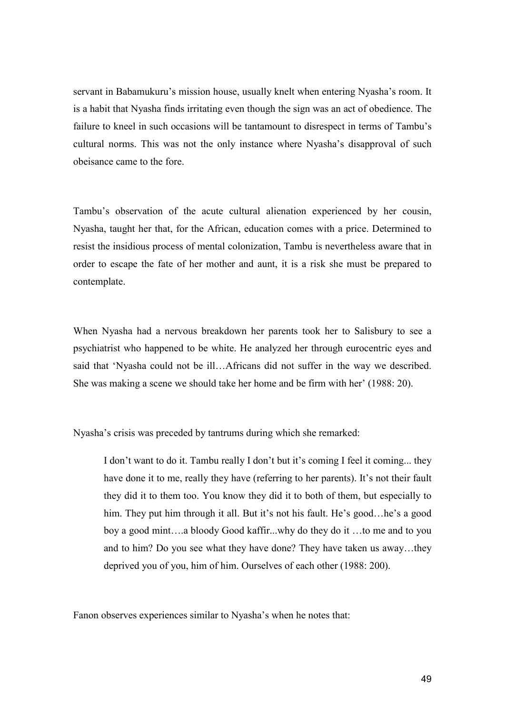servant in Babamukuru's mission house, usually knelt when entering Nyasha's room. It is a habit that Nyasha finds irritating even though the sign was an act of obedience. The failure to kneel in such occasions will be tantamount to disrespect in terms of Tambu's cultural norms. This was not the only instance where Nyasha's disapproval of such obeisance came to the fore.

Tambu's observation of the acute cultural alienation experienced by her cousin, Nyasha, taught her that, for the African, education comes with a price. Determined to resist the insidious process of mental colonization, Tambu is nevertheless aware that in order to escape the fate of her mother and aunt, it is a risk she must be prepared to contemplate.

When Nyasha had a nervous breakdown her parents took her to Salisbury to see a psychiatrist who happened to be white. He analyzed her through eurocentric eyes and said that 'Nyasha could not be ill…Africans did not suffer in the way we described. She was making a scene we should take her home and be firm with her' (1988: 20).

Nyasha's crisis was preceded by tantrums during which she remarked:

I don't want to do it. Tambu really I don't but it's coming I feel it coming... they have done it to me, really they have (referring to her parents). It's not their fault they did it to them too. You know they did it to both of them, but especially to him. They put him through it all. But it's not his fault. He's good...he's a good boy a good mint….a bloody Good kaffir...why do they do it …to me and to you and to him? Do you see what they have done? They have taken us away…they deprived you of you, him of him. Ourselves of each other (1988: 200).

Fanon observes experiences similar to Nyasha's when he notes that: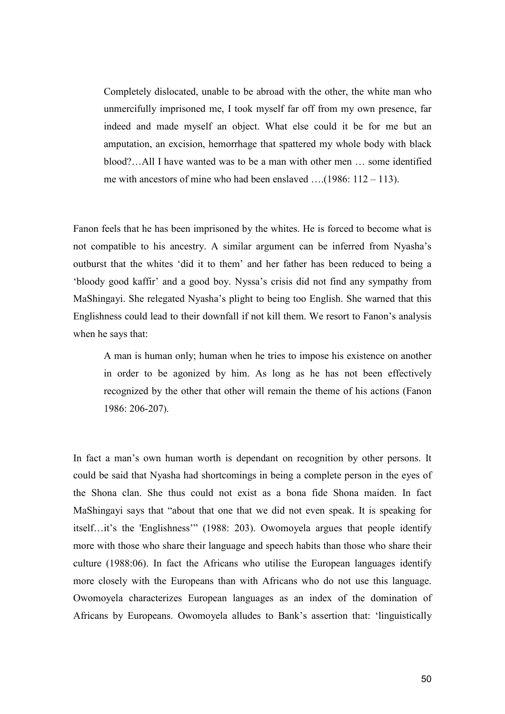Completely dislocated, unable to be abroad with the other, the white man who unmercifully imprisoned me, I took myself far off from my own presence, far indeed and made myself an object. What else could it be for me but an amputation, an excision, hemorrhage that spattered my whole body with black blood?…All I have wanted was to be a man with other men … some identified me with ancestors of mine who had been enslaved ….(1986: 112 – 113).

Fanon feels that he has been imprisoned by the whites. He is forced to become what is not compatible to his ancestry. A similar argument can be inferred from Nyasha's outburst that the whites 'did it to them' and her father has been reduced to being a 'bloody good kaffir' and a good boy. Nyssa's crisis did not find any sympathy from MaShingayi. She relegated Nyasha's plight to being too English. She warned that this Englishness could lead to their downfall if not kill them. We resort to Fanon's analysis when he says that:

A man is human only; human when he tries to impose his existence on another in order to be agonized by him. As long as he has not been effectively recognized by the other that other will remain the theme of his actions (Fanon 1986: 206-207).

In fact a man's own human worth is dependant on recognition by other persons. It could be said that Nyasha had shortcomings in being a complete person in the eyes of the Shona clan. She thus could not exist as a bona fide Shona maiden. In fact MaShingayi says that "about that one that we did not even speak. It is speaking for itself…it's the 'Englishness'" (1988: 203). Owomoyela argues that people identify more with those who share their language and speech habits than those who share their culture (1988:06). In fact the Africans who utilise the European languages identify more closely with the Europeans than with Africans who do not use this language. Owomoyela characterizes European languages as an index of the domination of Africans by Europeans. Owomoyela alludes to Bank's assertion that: 'linguistically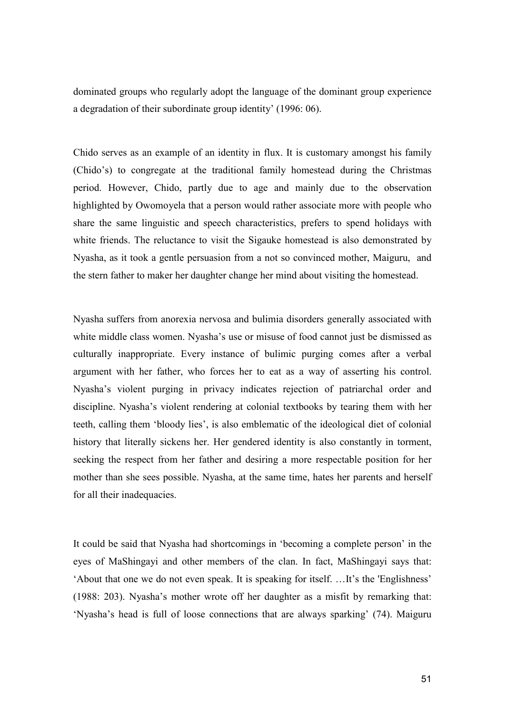dominated groups who regularly adopt the language of the dominant group experience a degradation of their subordinate group identity' (1996: 06).

Chido serves as an example of an identity in flux. It is customary amongst his family (Chido's) to congregate at the traditional family homestead during the Christmas period. However, Chido, partly due to age and mainly due to the observation highlighted by Owomoyela that a person would rather associate more with people who share the same linguistic and speech characteristics, prefers to spend holidays with white friends. The reluctance to visit the Sigauke homestead is also demonstrated by Nyasha, as it took a gentle persuasion from a not so convinced mother, Maiguru, and the stern father to maker her daughter change her mind about visiting the homestead.

Nyasha suffers from anorexia nervosa and bulimia disorders generally associated with white middle class women. Nyasha's use or misuse of food cannot just be dismissed as culturally inappropriate. Every instance of bulimic purging comes after a verbal argument with her father, who forces her to eat as a way of asserting his control. Nyasha's violent purging in privacy indicates rejection of patriarchal order and discipline. Nyasha's violent rendering at colonial textbooks by tearing them with her teeth, calling them 'bloody lies', is also emblematic of the ideological diet of colonial history that literally sickens her. Her gendered identity is also constantly in torment, seeking the respect from her father and desiring a more respectable position for her mother than she sees possible. Nyasha, at the same time, hates her parents and herself for all their inadequacies.

It could be said that Nyasha had shortcomings in 'becoming a complete person' in the eyes of MaShingayi and other members of the clan. In fact, MaShingayi says that: 'About that one we do not even speak. It is speaking for itself. …It's the 'Englishness' (1988: 203). Nyasha's mother wrote off her daughter as a misfit by remarking that: 'Nyasha's head is full of loose connections that are always sparking' (74). Maiguru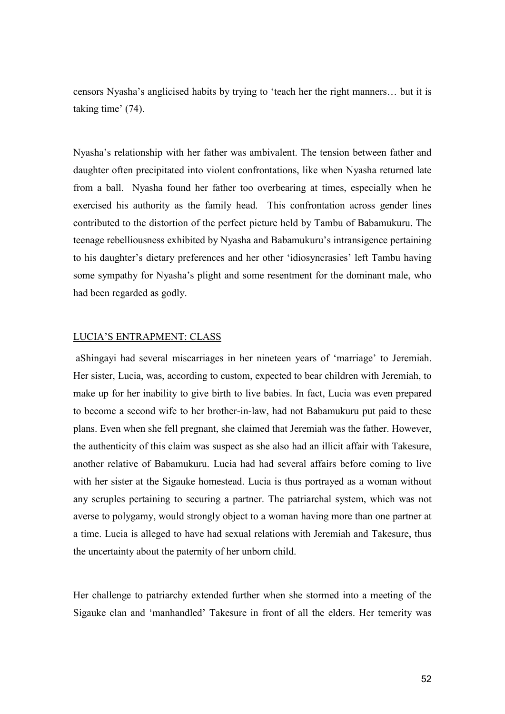censors Nyasha's anglicised habits by trying to 'teach her the right manners… but it is taking time' (74).

Nyasha's relationship with her father was ambivalent. The tension between father and daughter often precipitated into violent confrontations, like when Nyasha returned late from a ball. Nyasha found her father too overbearing at times, especially when he exercised his authority as the family head. This confrontation across gender lines contributed to the distortion of the perfect picture held by Tambu of Babamukuru. The teenage rebelliousness exhibited by Nyasha and Babamukuru's intransigence pertaining to his daughter's dietary preferences and her other 'idiosyncrasies' left Tambu having some sympathy for Nyasha's plight and some resentment for the dominant male, who had been regarded as godly.

#### LUCIA'S ENTRAPMENT: CLASS

 aShingayi had several miscarriages in her nineteen years of 'marriage' to Jeremiah. Her sister, Lucia, was, according to custom, expected to bear children with Jeremiah, to make up for her inability to give birth to live babies. In fact, Lucia was even prepared to become a second wife to her brother-in-law, had not Babamukuru put paid to these plans. Even when she fell pregnant, she claimed that Jeremiah was the father. However, the authenticity of this claim was suspect as she also had an illicit affair with Takesure, another relative of Babamukuru. Lucia had had several affairs before coming to live with her sister at the Sigauke homestead. Lucia is thus portrayed as a woman without any scruples pertaining to securing a partner. The patriarchal system, which was not averse to polygamy, would strongly object to a woman having more than one partner at a time. Lucia is alleged to have had sexual relations with Jeremiah and Takesure, thus the uncertainty about the paternity of her unborn child.

Her challenge to patriarchy extended further when she stormed into a meeting of the Sigauke clan and 'manhandled' Takesure in front of all the elders. Her temerity was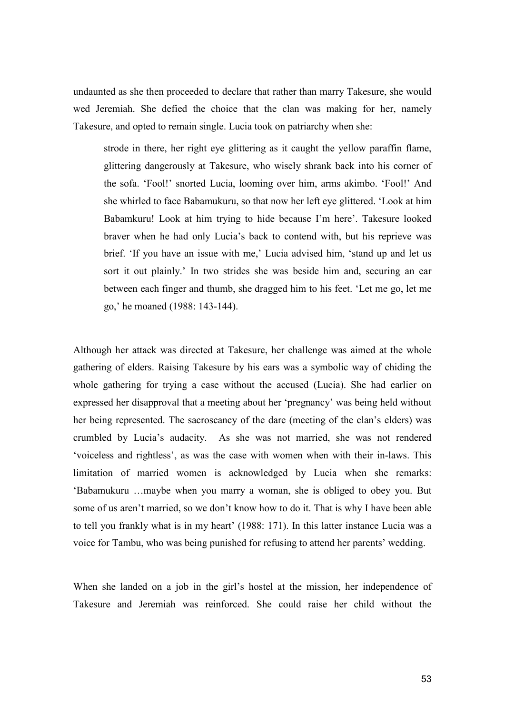undaunted as she then proceeded to declare that rather than marry Takesure, she would wed Jeremiah. She defied the choice that the clan was making for her, namely Takesure, and opted to remain single. Lucia took on patriarchy when she:

strode in there, her right eye glittering as it caught the yellow paraffin flame, glittering dangerously at Takesure, who wisely shrank back into his corner of the sofa. 'Fool!' snorted Lucia, looming over him, arms akimbo. 'Fool!' And she whirled to face Babamukuru, so that now her left eye glittered. 'Look at him Babamkuru! Look at him trying to hide because I'm here'. Takesure looked braver when he had only Lucia's back to contend with, but his reprieve was brief. 'If you have an issue with me,' Lucia advised him, 'stand up and let us sort it out plainly.' In two strides she was beside him and, securing an ear between each finger and thumb, she dragged him to his feet. 'Let me go, let me go,' he moaned (1988: 143-144).

Although her attack was directed at Takesure, her challenge was aimed at the whole gathering of elders. Raising Takesure by his ears was a symbolic way of chiding the whole gathering for trying a case without the accused (Lucia). She had earlier on expressed her disapproval that a meeting about her 'pregnancy' was being held without her being represented. The sacroscancy of the dare (meeting of the clan's elders) was crumbled by Lucia's audacity. As she was not married, she was not rendered 'voiceless and rightless', as was the case with women when with their in-laws. This limitation of married women is acknowledged by Lucia when she remarks: 'Babamukuru …maybe when you marry a woman, she is obliged to obey you. But some of us aren't married, so we don't know how to do it. That is why I have been able to tell you frankly what is in my heart' (1988: 171). In this latter instance Lucia was a voice for Tambu, who was being punished for refusing to attend her parents' wedding.

When she landed on a job in the girl's hostel at the mission, her independence of Takesure and Jeremiah was reinforced. She could raise her child without the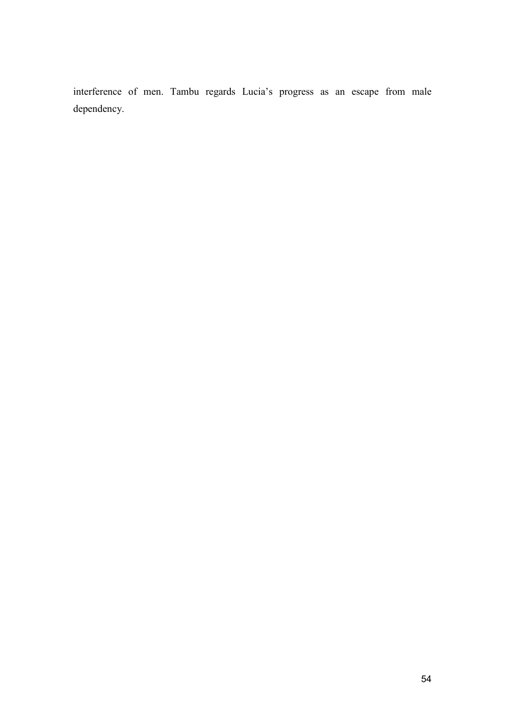interference of men. Tambu regards Lucia's progress as an escape from male dependency.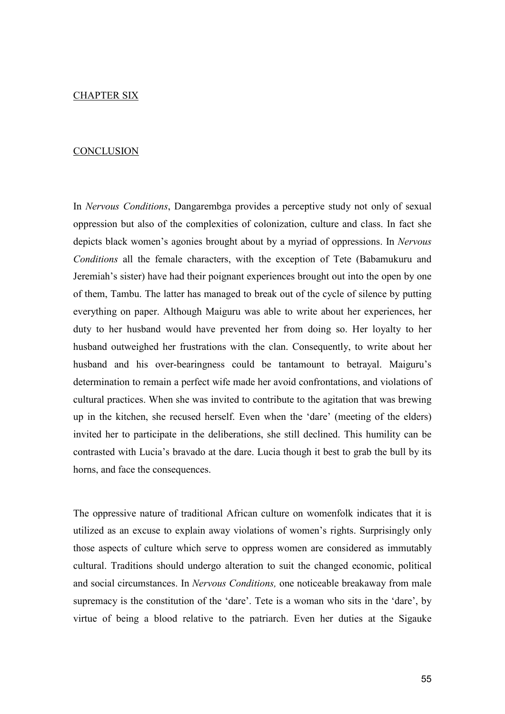#### CHAPTER SIX

#### **CONCLUSION**

In Nervous Conditions, Dangarembga provides a perceptive study not only of sexual oppression but also of the complexities of colonization, culture and class. In fact she depicts black women's agonies brought about by a myriad of oppressions. In Nervous Conditions all the female characters, with the exception of Tete (Babamukuru and Jeremiah's sister) have had their poignant experiences brought out into the open by one of them, Tambu. The latter has managed to break out of the cycle of silence by putting everything on paper. Although Maiguru was able to write about her experiences, her duty to her husband would have prevented her from doing so. Her loyalty to her husband outweighed her frustrations with the clan. Consequently, to write about her husband and his over-bearingness could be tantamount to betrayal. Maiguru's determination to remain a perfect wife made her avoid confrontations, and violations of cultural practices. When she was invited to contribute to the agitation that was brewing up in the kitchen, she recused herself. Even when the 'dare' (meeting of the elders) invited her to participate in the deliberations, she still declined. This humility can be contrasted with Lucia's bravado at the dare. Lucia though it best to grab the bull by its horns, and face the consequences.

The oppressive nature of traditional African culture on womenfolk indicates that it is utilized as an excuse to explain away violations of women's rights. Surprisingly only those aspects of culture which serve to oppress women are considered as immutably cultural. Traditions should undergo alteration to suit the changed economic, political and social circumstances. In Nervous Conditions, one noticeable breakaway from male supremacy is the constitution of the 'dare'. Tete is a woman who sits in the 'dare', by virtue of being a blood relative to the patriarch. Even her duties at the Sigauke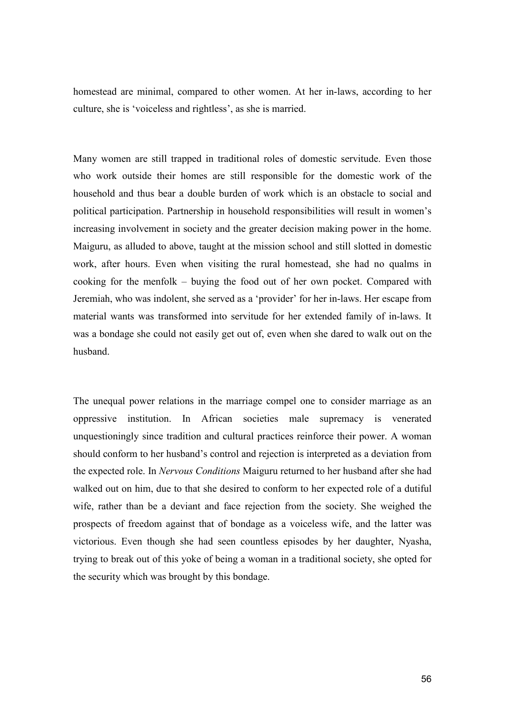homestead are minimal, compared to other women. At her in-laws, according to her culture, she is 'voiceless and rightless', as she is married.

Many women are still trapped in traditional roles of domestic servitude. Even those who work outside their homes are still responsible for the domestic work of the household and thus bear a double burden of work which is an obstacle to social and political participation. Partnership in household responsibilities will result in women's increasing involvement in society and the greater decision making power in the home. Maiguru, as alluded to above, taught at the mission school and still slotted in domestic work, after hours. Even when visiting the rural homestead, she had no qualms in cooking for the menfolk – buying the food out of her own pocket. Compared with Jeremiah, who was indolent, she served as a 'provider' for her in-laws. Her escape from material wants was transformed into servitude for her extended family of in-laws. It was a bondage she could not easily get out of, even when she dared to walk out on the husband.

The unequal power relations in the marriage compel one to consider marriage as an oppressive institution. In African societies male supremacy is venerated unquestioningly since tradition and cultural practices reinforce their power. A woman should conform to her husband's control and rejection is interpreted as a deviation from the expected role. In Nervous Conditions Maiguru returned to her husband after she had walked out on him, due to that she desired to conform to her expected role of a dutiful wife, rather than be a deviant and face rejection from the society. She weighed the prospects of freedom against that of bondage as a voiceless wife, and the latter was victorious. Even though she had seen countless episodes by her daughter, Nyasha, trying to break out of this yoke of being a woman in a traditional society, she opted for the security which was brought by this bondage.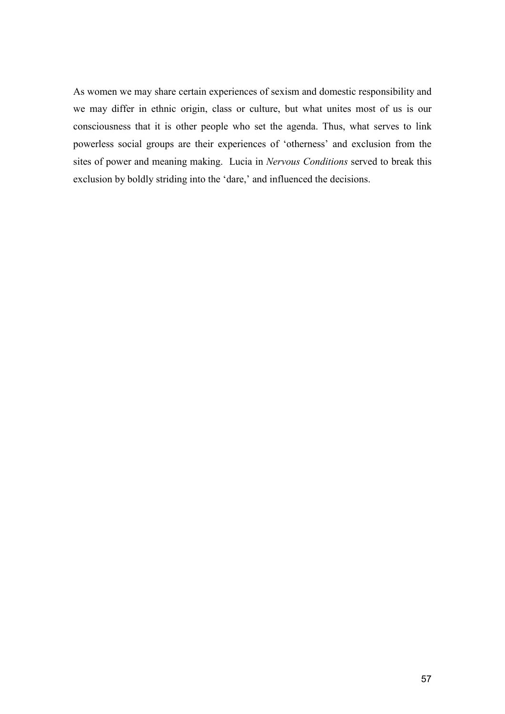As women we may share certain experiences of sexism and domestic responsibility and we may differ in ethnic origin, class or culture, but what unites most of us is our consciousness that it is other people who set the agenda. Thus, what serves to link powerless social groups are their experiences of 'otherness' and exclusion from the sites of power and meaning making. Lucia in Nervous Conditions served to break this exclusion by boldly striding into the 'dare,' and influenced the decisions.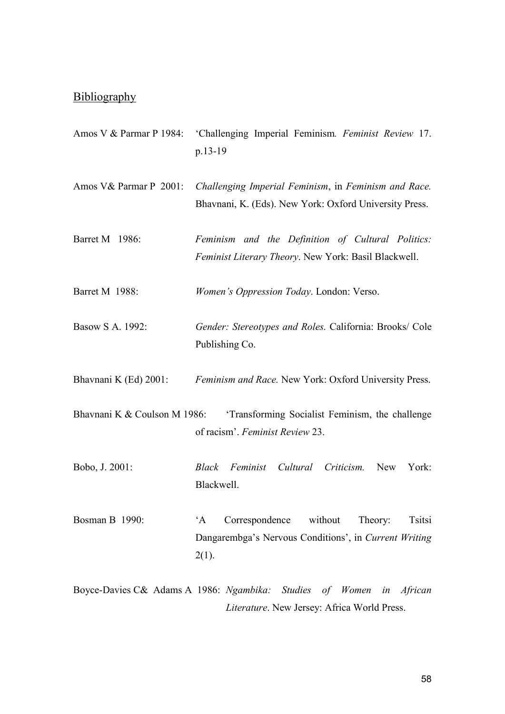# **Bibliography**

- Amos V & Parmar P 1984: 'Challenging Imperial Feminism. Feminist Review 17. p.13-19
- Amos V& Parmar P 2001: Challenging Imperial Feminism, in Feminism and Race. Bhavnani, K. (Eds). New York: Oxford University Press.
- Barret M 1986: Feminism and the Definition of Cultural Politics: Feminist Literary Theory. New York: Basil Blackwell.
- Barret M 1988: Women's Oppression Today. London: Verso.
- Basow S A. 1992: Gender: Stereotypes and Roles. California: Brooks/ Cole Publishing Co.
- Bhavnani K (Ed) 2001: Feminism and Race. New York: Oxford University Press.
- Bhavnani K & Coulson M 1986: 'Transforming Socialist Feminism, the challenge of racism'. Feminist Review 23.
- Bobo, J. 2001: Black Feminist Cultural Criticism. New York: Blackwell.
- Bosman B 1990: 'A Correspondence without Theory: Tsitsi Dangarembga's Nervous Conditions', in Current Writing  $2(1)$ .
- Boyce-Davies C& Adams A 1986: Ngambika: Studies of Women in African Literature. New Jersey: Africa World Press.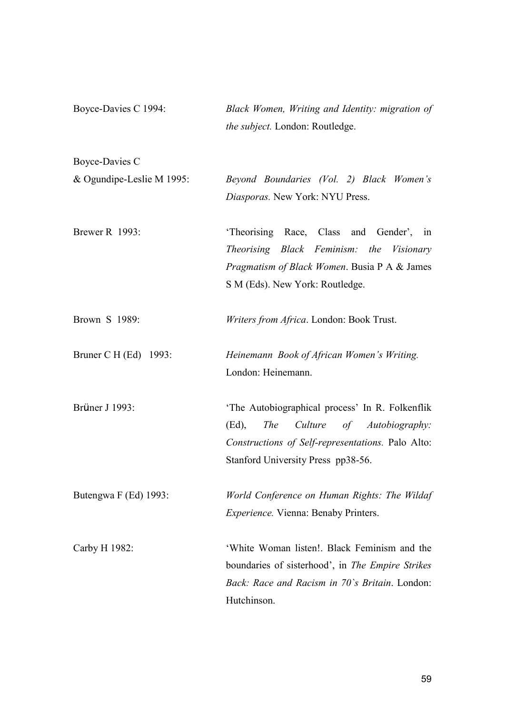| Boyce-Davies C 1994:      | Black Women, Writing and Identity: migration of<br>the subject. London: Routledge.                                                                                                                   |
|---------------------------|------------------------------------------------------------------------------------------------------------------------------------------------------------------------------------------------------|
| Boyce-Davies C            |                                                                                                                                                                                                      |
| & Ogundipe-Leslie M 1995: | Beyond Boundaries (Vol. 2) Black Women's                                                                                                                                                             |
|                           | Diasporas. New York: NYU Press.                                                                                                                                                                      |
| <b>Brewer R</b> 1993:     | 'Theorising Race, Class and Gender', in                                                                                                                                                              |
|                           | Theorising Black Feminism: the Visionary                                                                                                                                                             |
|                           | <i>Pragmatism of Black Women.</i> Busia P A & James                                                                                                                                                  |
|                           | S M (Eds). New York: Routledge.                                                                                                                                                                      |
| Brown S 1989:             | Writers from Africa. London: Book Trust.                                                                                                                                                             |
| Bruner C H (Ed) 1993:     | Heinemann Book of African Women's Writing.                                                                                                                                                           |
|                           | London: Heinemann.                                                                                                                                                                                   |
| Brüner J 1993:            | 'The Autobiographical process' In R. Folkenflik<br>$(Ed)$ ,<br><i>The</i><br>Culture<br>of Autobiography:<br>Constructions of Self-representations. Palo Alto:<br>Stanford University Press pp38-56. |
| Butengwa F (Ed) 1993:     | World Conference on Human Rights: The Wildaf                                                                                                                                                         |
|                           | <i>Experience.</i> Vienna: Benaby Printers.                                                                                                                                                          |
| Carby H 1982:             | 'White Woman listen!. Black Feminism and the                                                                                                                                                         |
|                           | boundaries of sisterhood', in The Empire Strikes                                                                                                                                                     |
|                           | Back: Race and Racism in 70's Britain. London:                                                                                                                                                       |
|                           | Hutchinson.                                                                                                                                                                                          |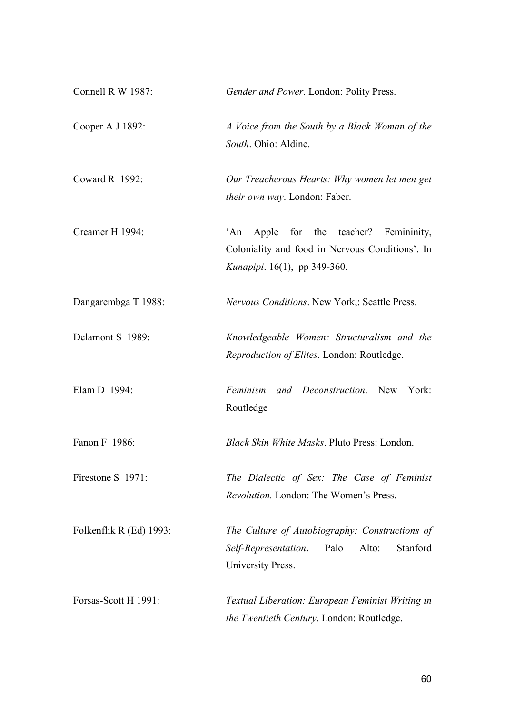| Connell R W 1987:       | Gender and Power. London: Polity Press.                                                                                            |
|-------------------------|------------------------------------------------------------------------------------------------------------------------------------|
| Cooper A J 1892:        | A Voice from the South by a Black Woman of the<br>South. Ohio: Aldine.                                                             |
| Coward R 1992:          | Our Treacherous Hearts: Why women let men get<br>their own way. London: Faber.                                                     |
| Creamer H 1994:         | Apple for the teacher? Femininity,<br>An<br>Coloniality and food in Nervous Conditions'. In<br><i>Kunapipi.</i> 16(1), pp 349-360. |
| Dangarembga T 1988:     | Nervous Conditions. New York,: Seattle Press.                                                                                      |
| Delamont S 1989:        | Knowledgeable Women: Structuralism and the<br>Reproduction of Elites. London: Routledge.                                           |
| Elam D 1994:            | Feminism and Deconstruction. New York:<br>Routledge                                                                                |
| Fanon F 1986:           | Black Skin White Masks. Pluto Press: London.                                                                                       |
| Firestone S 1971:       | The Dialectic of Sex: The Case of Feminist<br>Revolution. London: The Women's Press.                                               |
| Folkenflik R (Ed) 1993: | The Culture of Autobiography: Constructions of<br>Palo<br>Alto:<br>Stanford<br>Self-Representation.<br>University Press.           |
| Forsas-Scott H 1991:    | Textual Liberation: European Feminist Writing in<br>the Twentieth Century. London: Routledge.                                      |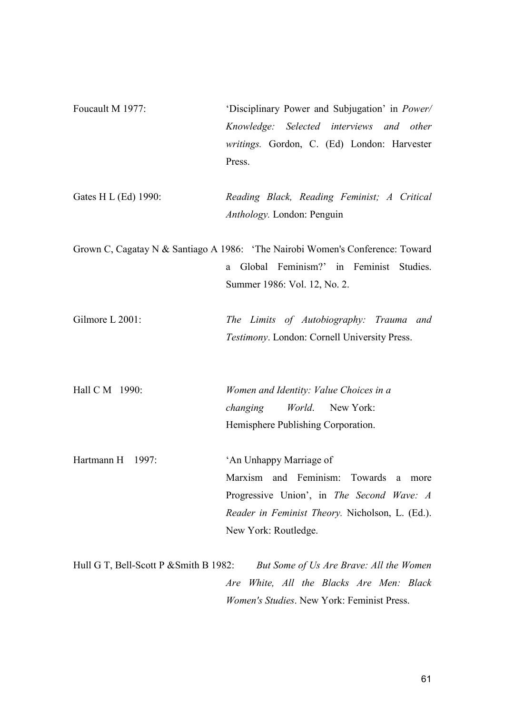| Foucault M 1977:                         | 'Disciplinary Power and Subjugation' in Power/                                |
|------------------------------------------|-------------------------------------------------------------------------------|
|                                          | Knowledge: Selected interviews and other                                      |
|                                          | writings. Gordon, C. (Ed) London: Harvester                                   |
|                                          | Press.                                                                        |
| Gates H L (Ed) 1990:                     | Reading Black, Reading Feminist; A Critical                                   |
|                                          | Anthology. London: Penguin                                                    |
|                                          | Grown C, Cagatay N & Santiago A 1986: 'The Nairobi Women's Conference: Toward |
|                                          | Global Feminism?' in Feminist Studies.<br>a                                   |
|                                          | Summer 1986: Vol. 12, No. 2.                                                  |
| Gilmore L 2001:                          | The Limits of Autobiography: Trauma and                                       |
|                                          | Testimony. London: Cornell University Press.                                  |
|                                          |                                                                               |
| Hall C M 1990:                           | Women and Identity: Value Choices in a                                        |
|                                          | <i>changing World.</i> New York:                                              |
|                                          | Hemisphere Publishing Corporation.                                            |
| Hartmann H 1997:                         | 'An Unhappy Marriage of                                                       |
|                                          | Marxism and Feminism: Towards<br>a<br>more                                    |
|                                          | Progressive Union', in The Second Wave: A                                     |
|                                          | <i>Reader in Feminist Theory.</i> Nicholson, L. (Ed.).                        |
|                                          | New York: Routledge.                                                          |
| Hull G T, Bell-Scott P $&$ Smith B 1982: | But Some of Us Are Brave: All the Women                                       |
|                                          | White, All the Blacks Are Men: Black<br>Are                                   |
|                                          | <i>Women's Studies.</i> New York: Feminist Press.                             |

61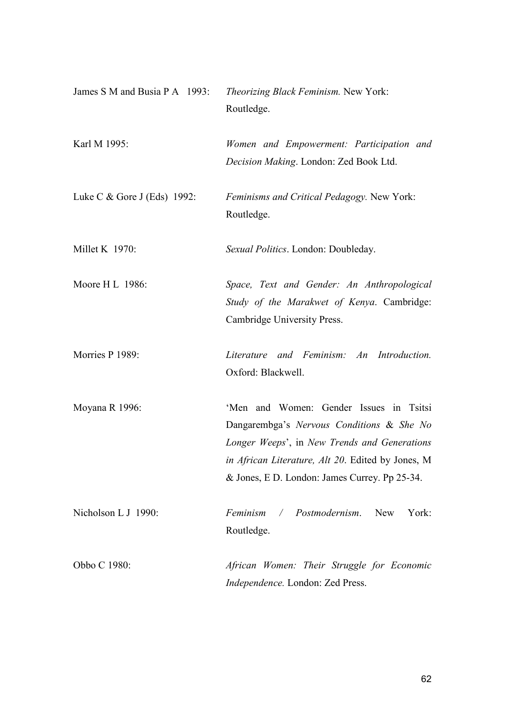| James S M and Busia P A 1993: | Theorizing Black Feminism. New York:<br>Routledge.                                                                                                                                                                                         |
|-------------------------------|--------------------------------------------------------------------------------------------------------------------------------------------------------------------------------------------------------------------------------------------|
| Karl M 1995:                  | Women and Empowerment: Participation and<br>Decision Making. London: Zed Book Ltd.                                                                                                                                                         |
| Luke C $&$ Gore J (Eds) 1992: | Feminisms and Critical Pedagogy. New York:<br>Routledge.                                                                                                                                                                                   |
| Millet K 1970:                | Sexual Politics. London: Doubleday.                                                                                                                                                                                                        |
| Moore H L 1986:               | Space, Text and Gender: An Anthropological<br>Study of the Marakwet of Kenya. Cambridge:<br>Cambridge University Press.                                                                                                                    |
| Morries P 1989:               | Literature and Feminism: An Introduction.<br>Oxford: Blackwell.                                                                                                                                                                            |
| Moyana R 1996:                | 'Men and Women: Gender Issues in Tsitsi<br>Dangarembga's Nervous Conditions & She No<br>Longer Weeps', in New Trends and Generations<br>in African Literature, Alt 20. Edited by Jones, M<br>& Jones, E.D. London: James Currey. Pp 25-34. |
| Nicholson L J 1990:           | Feminism / Postmodernism. New<br>York:<br>Routledge.                                                                                                                                                                                       |
| Obbo C 1980:                  | African Women: Their Struggle for Economic<br>Independence. London: Zed Press.                                                                                                                                                             |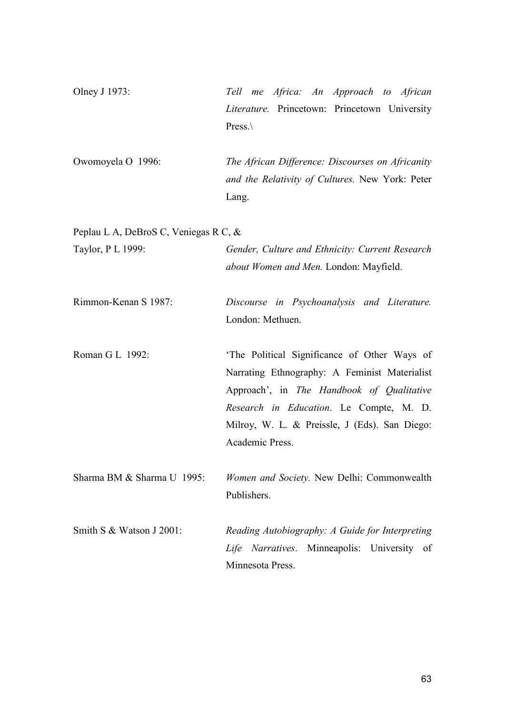Olney J 1973: Tell me Africa: An Approach to African Literature. Princetown: Princetown University Press.\

Owomoyela O 1996: The African Difference: Discourses on Africanity and the Relativity of Cultures. New York: Peter Lang.

Peplau L A, DeBroS C, Veniegas R C, &

| Taylor, P L 1999:          | Gender, Culture and Ethnicity: Current Research<br>about Women and Men. London: Mayfield.                                                                                                                                                                 |
|----------------------------|-----------------------------------------------------------------------------------------------------------------------------------------------------------------------------------------------------------------------------------------------------------|
| Rimmon-Kenan S 1987:       | Discourse in Psychoanalysis and Literature.<br>London: Methuen.                                                                                                                                                                                           |
| Roman G L 1992:            | 'The Political Significance of Other Ways of<br>Narrating Ethnography: A Feminist Materialist<br>Approach', in The Handbook of Qualitative<br>Research in Education. Le Compte, M. D.<br>Milroy, W. L. & Preissle, J (Eds). San Diego:<br>Academic Press. |
| Sharma BM & Sharma U 1995: | Women and Society. New Delhi: Commonwealth<br>Publishers.                                                                                                                                                                                                 |
| Smith S & Watson J 2001:   | Reading Autobiography: A Guide for Interpreting<br>Life Narratives. Minneapolis: University of<br>Minnesota Press.                                                                                                                                        |